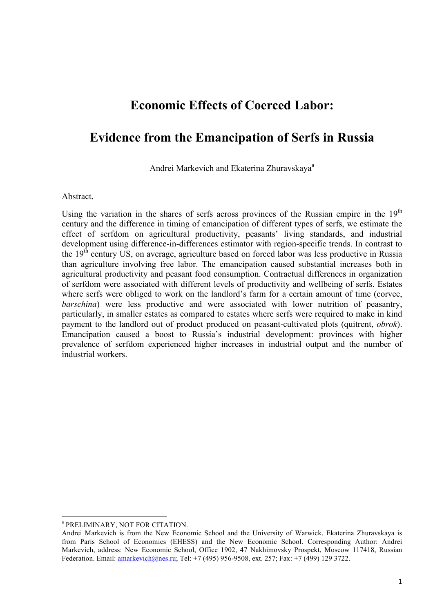# **Economic Effects of Coerced Labor:**

# **Evidence from the Emancipation of Serfs in Russia**

Andrei Markevich and Ekaterina Zhuravskaya<sup>a</sup>

#### **Abstract.**

Using the variation in the shares of serfs across provinces of the Russian empire in the 19<sup>th</sup> century and the difference in timing of emancipation of different types of serfs, we estimate the effect of serfdom on agricultural productivity, peasants' living standards, and industrial development using difference-in-differences estimator with region-specific trends. In contrast to the  $19<sup>th</sup>$  century US, on average, agriculture based on forced labor was less productive in Russia than agriculture involving free labor. The emancipation caused substantial increases both in agricultural productivity and peasant food consumption. Contractual differences in organization of serfdom were associated with different levels of productivity and wellbeing of serfs. Estates where serfs were obliged to work on the landlord's farm for a certain amount of time (corvee, *barschina*) were less productive and were associated with lower nutrition of peasantry, particularly, in smaller estates as compared to estates where serfs were required to make in kind payment to the landlord out of product produced on peasant-cultivated plots (quitrent, *obrok*). Emancipation caused a boost to Russia's industrial development: provinces with higher prevalence of serfdom experienced higher increases in industrial output and the number of industrial workers.

<u> 1989 - Jan Samuel Barbara, político establecido de la provincia de la provincia de la provincia de la provinci</u>

<sup>a</sup> PRELIMINARY, NOT FOR CITATION.

Andrei Markevich is from the New Economic School and the University of Warwick. Ekaterina Zhuravskaya is from Paris School of Economics (EHESS) and the New Economic School. Corresponding Author: Andrei Markevich, address: New Economic School, Office 1902, 47 Nakhimovsky Prospekt, Moscow 117418, Russian Federation. Email: **amarkevich@nes.ru**; Tel: +7 (495) 956-9508, ext. 257; Fax: +7 (499) 129 3722.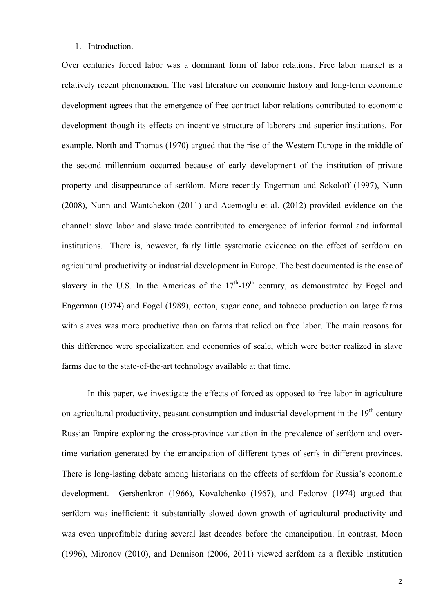#### 1. Introduction.

Over centuries forced labor was a dominant form of labor relations. Free labor market is a relatively recent phenomenon. The vast literature on economic history and long-term economic development agrees that the emergence of free contract labor relations contributed to economic development though its effects on incentive structure of laborers and superior institutions. For example, North and Thomas (1970) argued that the rise of the Western Europe in the middle of the second millennium occurred because of early development of the institution of private property and disappearance of serfdom. More recently Engerman and Sokoloff (1997), Nunn (2008), Nunn and Wantchekon (2011) and Acemoglu et al. (2012) provided evidence on the channel: slave labor and slave trade contributed to emergence of inferior formal and informal institutions. There is, however, fairly little systematic evidence on the effect of serfdom on agricultural productivity or industrial development in Europe. The best documented is the case of slavery in the U.S. In the Americas of the  $17<sup>th</sup>$ -19<sup>th</sup> century, as demonstrated by Fogel and Engerman (1974) and Fogel (1989), cotton, sugar cane, and tobacco production on large farms with slaves was more productive than on farms that relied on free labor. The main reasons for this difference were specialization and economies of scale, which were better realized in slave farms due to the state-of-the-art technology available at that time.

In this paper, we investigate the effects of forced as opposed to free labor in agriculture on agricultural productivity, peasant consumption and industrial development in the  $19<sup>th</sup>$  century Russian Empire exploring the cross-province variation in the prevalence of serfdom and overtime variation generated by the emancipation of different types of serfs in different provinces. There is long-lasting debate among historians on the effects of serfdom for Russia's economic development. Gershenkron (1966), Kovalchenko (1967), and Fedorov (1974) argued that serfdom was inefficient: it substantially slowed down growth of agricultural productivity and was even unprofitable during several last decades before the emancipation. In contrast, Moon (1996), Mironov (2010), and Dennison (2006, 2011) viewed serfdom as a flexible institution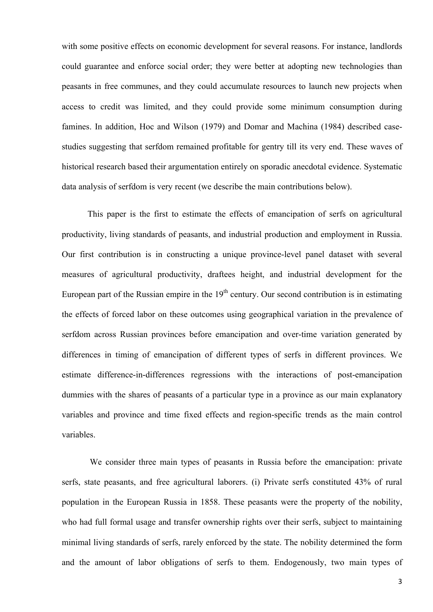with some positive effects on economic development for several reasons. For instance, landlords could guarantee and enforce social order; they were better at adopting new technologies than peasants in free communes, and they could accumulate resources to launch new projects when access to credit was limited, and they could provide some minimum consumption during famines. In addition, Hoc and Wilson (1979) and Domar and Machina (1984) described casestudies suggesting that serfdom remained profitable for gentry till its very end. These waves of historical research based their argumentation entirely on sporadic anecdotal evidence. Systematic data analysis of serfdom is very recent (we describe the main contributions below).

This paper is the first to estimate the effects of emancipation of serfs on agricultural productivity, living standards of peasants, and industrial production and employment in Russia. Our first contribution is in constructing a unique province-level panel dataset with several measures of agricultural productivity, draftees height, and industrial development for the European part of the Russian empire in the  $19<sup>th</sup>$  century. Our second contribution is in estimating the effects of forced labor on these outcomes using geographical variation in the prevalence of serfdom across Russian provinces before emancipation and over-time variation generated by differences in timing of emancipation of different types of serfs in different provinces. We estimate difference-in-differences regressions with the interactions of post-emancipation dummies with the shares of peasants of a particular type in a province as our main explanatory variables and province and time fixed effects and region-specific trends as the main control variables.

We consider three main types of peasants in Russia before the emancipation: private serfs, state peasants, and free agricultural laborers. (i) Private serfs constituted 43% of rural population in the European Russia in 1858. These peasants were the property of the nobility, who had full formal usage and transfer ownership rights over their serfs, subject to maintaining minimal living standards of serfs, rarely enforced by the state. The nobility determined the form and the amount of labor obligations of serfs to them. Endogenously, two main types of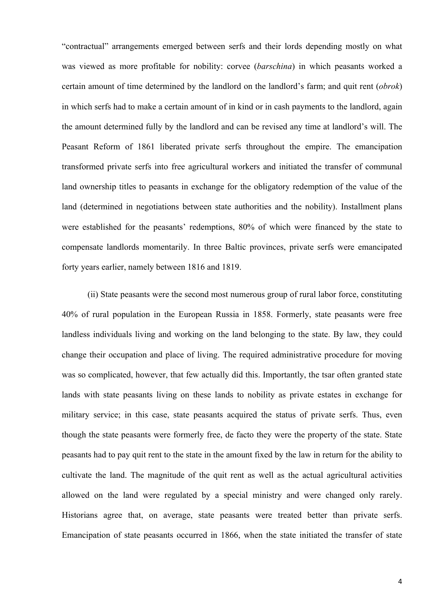"contractual" arrangements emerged between serfs and their lords depending mostly on what was viewed as more profitable for nobility: corvee (*barschina*) in which peasants worked a certain amount of time determined by the landlord on the landlord's farm; and quit rent (*obrok*) in which serfs had to make a certain amount of in kind or in cash payments to the landlord, again the amount determined fully by the landlord and can be revised any time at landlord's will. The Peasant Reform of 1861 liberated private serfs throughout the empire. The emancipation transformed private serfs into free agricultural workers and initiated the transfer of communal land ownership titles to peasants in exchange for the obligatory redemption of the value of the land (determined in negotiations between state authorities and the nobility). Installment plans were established for the peasants' redemptions, 80% of which were financed by the state to compensate landlords momentarily. In three Baltic provinces, private serfs were emancipated forty years earlier, namely between 1816 and 1819.

(ii) State peasants were the second most numerous group of rural labor force, constituting 40% of rural population in the European Russia in 1858. Formerly, state peasants were free landless individuals living and working on the land belonging to the state. By law, they could change their occupation and place of living. The required administrative procedure for moving was so complicated, however, that few actually did this. Importantly, the tsar often granted state lands with state peasants living on these lands to nobility as private estates in exchange for military service; in this case, state peasants acquired the status of private serfs. Thus, even though the state peasants were formerly free, de facto they were the property of the state. State peasants had to pay quit rent to the state in the amount fixed by the law in return for the ability to cultivate the land. The magnitude of the quit rent as well as the actual agricultural activities allowed on the land were regulated by a special ministry and were changed only rarely. Historians agree that, on average, state peasants were treated better than private serfs. Emancipation of state peasants occurred in 1866, when the state initiated the transfer of state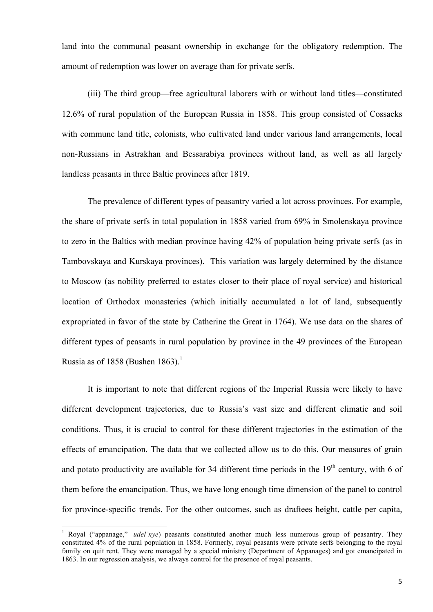land into the communal peasant ownership in exchange for the obligatory redemption. The amount of redemption was lower on average than for private serfs.

(iii) The third group—free agricultural laborers with or without land titles—constituted 12.6% of rural population of the European Russia in 1858. This group consisted of Cossacks with commune land title, colonists, who cultivated land under various land arrangements, local non-Russians in Astrakhan and Bessarabiya provinces without land, as well as all largely landless peasants in three Baltic provinces after 1819.

The prevalence of different types of peasantry varied a lot across provinces. For example, the share of private serfs in total population in 1858 varied from 69% in Smolenskaya province to zero in the Baltics with median province having 42% of population being private serfs (as in Tambovskaya and Kurskaya provinces). This variation was largely determined by the distance to Moscow (as nobility preferred to estates closer to their place of royal service) and historical location of Orthodox monasteries (which initially accumulated a lot of land, subsequently expropriated in favor of the state by Catherine the Great in 1764). We use data on the shares of different types of peasants in rural population by province in the 49 provinces of the European Russia as of 1858 (Bushen 1863).<sup>1</sup>

It is important to note that different regions of the Imperial Russia were likely to have different development trajectories, due to Russia's vast size and different climatic and soil conditions. Thus, it is crucial to control for these different trajectories in the estimation of the effects of emancipation. The data that we collected allow us to do this. Our measures of grain and potato productivity are available for 34 different time periods in the  $19<sup>th</sup>$  century, with 6 of them before the emancipation. Thus, we have long enough time dimension of the panel to control for province-specific trends. For the other outcomes, such as draftees height, cattle per capita,

 

<sup>&</sup>lt;sup>1</sup> Royal ("appanage," *udel'nye*) peasants constituted another much less numerous group of peasantry. They constituted 4% of the rural population in 1858. Formerly, royal peasants were private serfs belonging to the royal family on quit rent. They were managed by a special ministry (Department of Appanages) and got emancipated in 1863. In our regression analysis, we always control for the presence of royal peasants.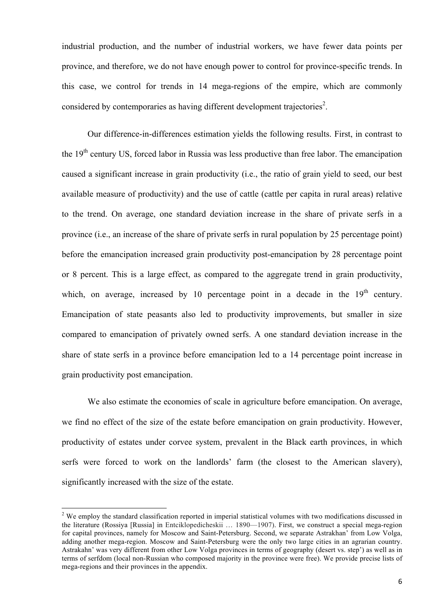industrial production, and the number of industrial workers, we have fewer data points per province, and therefore, we do not have enough power to control for province-specific trends. In this case, we control for trends in 14 mega-regions of the empire, which are commonly considered by contemporaries as having different development trajectories<sup>2</sup>.

Our difference-in-differences estimation yields the following results. First, in contrast to the 19<sup>th</sup> century US, forced labor in Russia was less productive than free labor. The emancipation caused a significant increase in grain productivity (i.e., the ratio of grain yield to seed, our best available measure of productivity) and the use of cattle (cattle per capita in rural areas) relative to the trend. On average, one standard deviation increase in the share of private serfs in a province (i.e., an increase of the share of private serfs in rural population by 25 percentage point) before the emancipation increased grain productivity post-emancipation by 28 percentage point or 8 percent. This is a large effect, as compared to the aggregate trend in grain productivity, which, on average, increased by 10 percentage point in a decade in the  $19<sup>th</sup>$  century. Emancipation of state peasants also led to productivity improvements, but smaller in size compared to emancipation of privately owned serfs. A one standard deviation increase in the share of state serfs in a province before emancipation led to a 14 percentage point increase in grain productivity post emancipation.

We also estimate the economies of scale in agriculture before emancipation. On average, we find no effect of the size of the estate before emancipation on grain productivity. However, productivity of estates under corvee system, prevalent in the Black earth provinces, in which serfs were forced to work on the landlords' farm (the closest to the American slavery), significantly increased with the size of the estate.

<u> 1989 - Jan Samuel Barbara, político establecido de la provincia de la provincia de la provincia de la provinci</u>

<sup>&</sup>lt;sup>2</sup> We employ the standard classification reported in imperial statistical volumes with two modifications discussed in the literature (Rossiya [Russia] in Entciklopedicheskii … 1890—1907). First, we construct a special mega-region for capital provinces, namely for Moscow and Saint-Petersburg. Second, we separate Astrakhan' from Low Volga, adding another mega-region. Moscow and Saint-Petersburg were the only two large cities in an agrarian country. Astrakahn' was very different from other Low Volga provinces in terms of geography (desert vs. step') as well as in terms of serfdom (local non-Russian who composed majority in the province were free). We provide precise lists of mega-regions and their provinces in the appendix.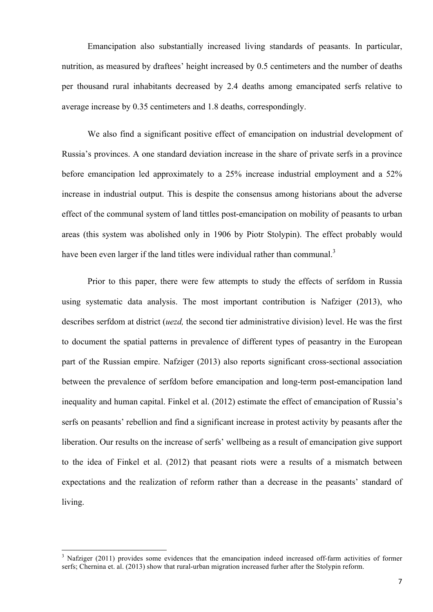Emancipation also substantially increased living standards of peasants. In particular, nutrition, as measured by draftees' height increased by 0.5 centimeters and the number of deaths per thousand rural inhabitants decreased by 2.4 deaths among emancipated serfs relative to average increase by 0.35 centimeters and 1.8 deaths, correspondingly.

We also find a significant positive effect of emancipation on industrial development of Russia's provinces. A one standard deviation increase in the share of private serfs in a province before emancipation led approximately to a 25% increase industrial employment and a 52% increase in industrial output. This is despite the consensus among historians about the adverse effect of the communal system of land tittles post-emancipation on mobility of peasants to urban areas (this system was abolished only in 1906 by Piotr Stolypin). The effect probably would have been even larger if the land titles were individual rather than communal.<sup>3</sup>

Prior to this paper, there were few attempts to study the effects of serfdom in Russia using systematic data analysis. The most important contribution is Nafziger (2013), who describes serfdom at district (*uezd,* the second tier administrative division) level. He was the first to document the spatial patterns in prevalence of different types of peasantry in the European part of the Russian empire. Nafziger (2013) also reports significant cross-sectional association between the prevalence of serfdom before emancipation and long-term post-emancipation land inequality and human capital. Finkel et al. (2012) estimate the effect of emancipation of Russia's serfs on peasants' rebellion and find a significant increase in protest activity by peasants after the liberation. Our results on the increase of serfs' wellbeing as a result of emancipation give support to the idea of Finkel et al. (2012) that peasant riots were a results of a mismatch between expectations and the realization of reform rather than a decrease in the peasants' standard of living.

<u> 1989 - Jan Samuel Barbara, político establecido de la provincia de la provincia de la provincia de la provinci</u>

<sup>&</sup>lt;sup>3</sup> Nafziger (2011) provides some evidences that the emancipation indeed increased off-farm activities of former serfs; Chernina et. al. (2013) show that rural-urban migration increased furher after the Stolypin reform.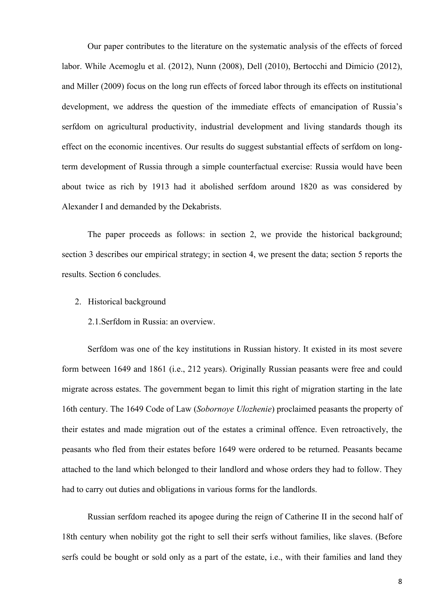Our paper contributes to the literature on the systematic analysis of the effects of forced labor. While Acemoglu et al. (2012), Nunn (2008), Dell (2010), Bertocchi and Dimicio (2012), and Miller (2009) focus on the long run effects of forced labor through its effects on institutional development, we address the question of the immediate effects of emancipation of Russia's serfdom on agricultural productivity, industrial development and living standards though its effect on the economic incentives. Our results do suggest substantial effects of serfdom on longterm development of Russia through a simple counterfactual exercise: Russia would have been about twice as rich by 1913 had it abolished serfdom around 1820 as was considered by Alexander I and demanded by the Dekabrists.

The paper proceeds as follows: in section 2, we provide the historical background; section 3 describes our empirical strategy; in section 4, we present the data; section 5 reports the results. Section 6 concludes.

2. Historical background

2.1.Serfdom in Russia: an overview.

Serfdom was one of the key institutions in Russian history. It existed in its most severe form between 1649 and 1861 (i.e., 212 years). Originally Russian peasants were free and could migrate across estates. The government began to limit this right of migration starting in the late 16th century. The 1649 Code of Law (*Sobornoye Ulozhenie*) proclaimed peasants the property of their estates and made migration out of the estates a criminal offence. Even retroactively, the peasants who fled from their estates before 1649 were ordered to be returned. Peasants became attached to the land which belonged to their landlord and whose orders they had to follow. They had to carry out duties and obligations in various forms for the landlords.

Russian serfdom reached its apogee during the reign of Catherine II in the second half of 18th century when nobility got the right to sell their serfs without families, like slaves. (Before serfs could be bought or sold only as a part of the estate, i.e., with their families and land they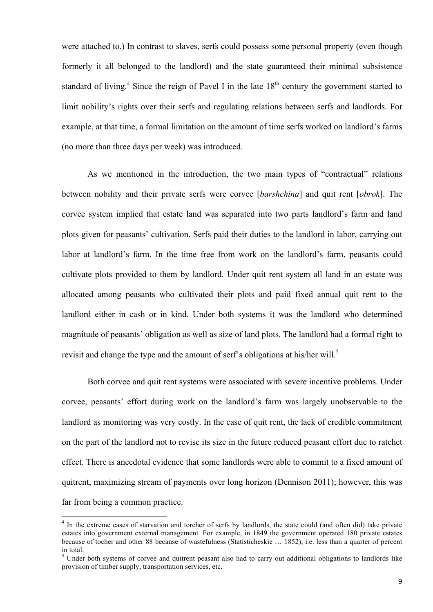were attached to.) In contrast to slaves, serfs could possess some personal property (even though formerly it all belonged to the landlord) and the state guaranteed their minimal subsistence standard of living.<sup>4</sup> Since the reign of Pavel I in the late  $18<sup>th</sup>$  century the government started to limit nobility's rights over their serfs and regulating relations between serfs and landlords. For example, at that time, a formal limitation on the amount of time serfs worked on landlord's farms (no more than three days per week) was introduced.

As we mentioned in the introduction, the two main types of "contractual" relations between nobility and their private serfs were corvee [*barshchina*] and quit rent [*obrok*]. The corvee system implied that estate land was separated into two parts landlord's farm and land plots given for peasants' cultivation. Serfs paid their duties to the landlord in labor, carrying out labor at landlord's farm. In the time free from work on the landlord's farm, peasants could cultivate plots provided to them by landlord. Under quit rent system all land in an estate was allocated among peasants who cultivated their plots and paid fixed annual quit rent to the landlord either in cash or in kind. Under both systems it was the landlord who determined magnitude of peasants' obligation as well as size of land plots. The landlord had a formal right to revisit and change the type and the amount of serf's obligations at his/her will.<sup>5</sup>

Both corvee and quit rent systems were associated with severe incentive problems. Under corvee, peasants' effort during work on the landlord's farm was largely unobservable to the landlord as monitoring was very costly. In the case of quit rent, the lack of credible commitment on the part of the landlord not to revise its size in the future reduced peasant effort due to ratchet effect. There is anecdotal evidence that some landlords were able to commit to a fixed amount of quitrent, maximizing stream of payments over long horizon (Dennison 2011); however, this was far from being a common practice.

<u> 1989 - Jan Samuel Barbara, político establecido de la provincia de la provincia de la provincia de la provinci</u>

<sup>&</sup>lt;sup>4</sup> In the extreme cases of starvation and torcher of serfs by landlords, the state could (and often did) take private estates into government external management. For example, in 1849 the government operated 180 private estates because of tocher and other 88 because of wastefulness (Statisticheskie … 1852), i.e. less than a quarter of percent in total.

 $<sup>5</sup>$  Under both systems of corvee and quitrent peasant also had to carry out additional obligations to landlords like</sup> provision of timber supply, transportation services, etc.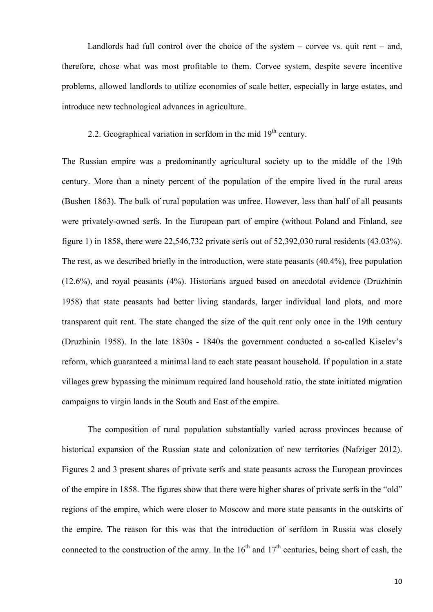Landlords had full control over the choice of the system – corvee vs. quit rent – and, therefore, chose what was most profitable to them. Corvee system, despite severe incentive problems, allowed landlords to utilize economies of scale better, especially in large estates, and introduce new technological advances in agriculture.

### 2.2. Geographical variation in serfdom in the mid  $19<sup>th</sup>$  century.

The Russian empire was a predominantly agricultural society up to the middle of the 19th century. More than a ninety percent of the population of the empire lived in the rural areas (Bushen 1863). The bulk of rural population was unfree. However, less than half of all peasants were privately-owned serfs. In the European part of empire (without Poland and Finland, see figure 1) in 1858, there were 22,546,732 private serfs out of 52,392,030 rural residents (43.03%). The rest, as we described briefly in the introduction, were state peasants (40.4%), free population (12.6%), and royal peasants (4%). Historians argued based on anecdotal evidence (Druzhinin 1958) that state peasants had better living standards, larger individual land plots, and more transparent quit rent. The state changed the size of the quit rent only once in the 19th century (Druzhinin 1958). In the late 1830s - 1840s the government conducted a so-called Kiselev's reform, which guaranteed a minimal land to each state peasant household. If population in a state villages grew bypassing the minimum required land household ratio, the state initiated migration campaigns to virgin lands in the South and East of the empire.

The composition of rural population substantially varied across provinces because of historical expansion of the Russian state and colonization of new territories (Nafziger 2012). Figures 2 and 3 present shares of private serfs and state peasants across the European provinces of the empire in 1858. The figures show that there were higher shares of private serfs in the "old" regions of the empire, which were closer to Moscow and more state peasants in the outskirts of the empire. The reason for this was that the introduction of serfdom in Russia was closely connected to the construction of the army. In the  $16<sup>th</sup>$  and  $17<sup>th</sup>$  centuries, being short of cash, the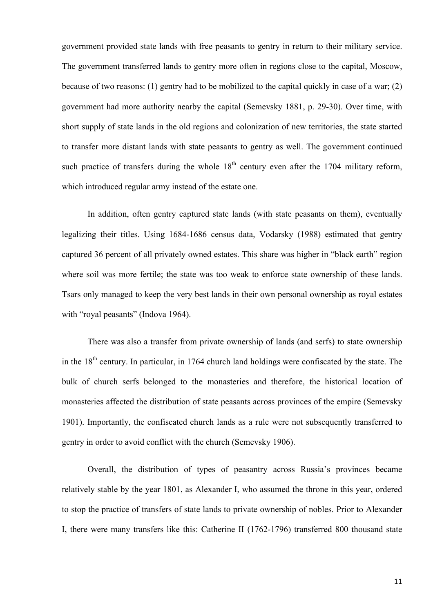government provided state lands with free peasants to gentry in return to their military service. The government transferred lands to gentry more often in regions close to the capital, Moscow, because of two reasons: (1) gentry had to be mobilized to the capital quickly in case of a war; (2) government had more authority nearby the capital (Semevsky 1881, p. 29-30). Over time, with short supply of state lands in the old regions and colonization of new territories, the state started to transfer more distant lands with state peasants to gentry as well. The government continued such practice of transfers during the whole  $18<sup>th</sup>$  century even after the 1704 military reform, which introduced regular army instead of the estate one.

In addition, often gentry captured state lands (with state peasants on them), eventually legalizing their titles. Using 1684-1686 census data, Vodarsky (1988) estimated that gentry captured 36 percent of all privately owned estates. This share was higher in "black earth" region where soil was more fertile; the state was too weak to enforce state ownership of these lands. Tsars only managed to keep the very best lands in their own personal ownership as royal estates with "royal peasants" (Indova 1964).

There was also a transfer from private ownership of lands (and serfs) to state ownership in the  $18<sup>th</sup>$  century. In particular, in 1764 church land holdings were confiscated by the state. The bulk of church serfs belonged to the monasteries and therefore, the historical location of monasteries affected the distribution of state peasants across provinces of the empire (Semevsky 1901). Importantly, the confiscated church lands as a rule were not subsequently transferred to gentry in order to avoid conflict with the church (Semevsky 1906).

Overall, the distribution of types of peasantry across Russia's provinces became relatively stable by the year 1801, as Alexander I, who assumed the throne in this year, ordered to stop the practice of transfers of state lands to private ownership of nobles. Prior to Alexander I, there were many transfers like this: Catherine II (1762-1796) transferred 800 thousand state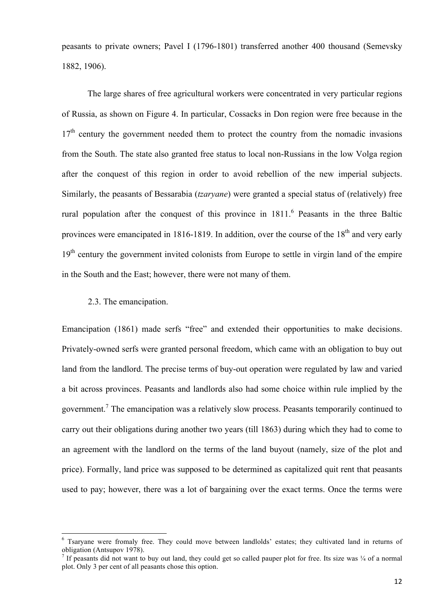peasants to private owners; Pavel I (1796-1801) transferred another 400 thousand (Semevsky 1882, 1906).

The large shares of free agricultural workers were concentrated in very particular regions of Russia, as shown on Figure 4. In particular, Cossacks in Don region were free because in the  $17<sup>th</sup>$  century the government needed them to protect the country from the nomadic invasions from the South. The state also granted free status to local non-Russians in the low Volga region after the conquest of this region in order to avoid rebellion of the new imperial subjects. Similarly, the peasants of Bessarabia (*tzaryane*) were granted a special status of (relatively) free rural population after the conquest of this province in  $1811<sup>6</sup>$  Peasants in the three Baltic provinces were emancipated in 1816-1819. In addition, over the course of the  $18<sup>th</sup>$  and very early 19<sup>th</sup> century the government invited colonists from Europe to settle in virgin land of the empire in the South and the East; however, there were not many of them.

### 2.3. The emancipation.

 

Emancipation (1861) made serfs "free" and extended their opportunities to make decisions. Privately-owned serfs were granted personal freedom, which came with an obligation to buy out land from the landlord. The precise terms of buy-out operation were regulated by law and varied a bit across provinces. Peasants and landlords also had some choice within rule implied by the government.<sup>7</sup> The emancipation was a relatively slow process. Peasants temporarily continued to carry out their obligations during another two years (till 1863) during which they had to come to an agreement with the landlord on the terms of the land buyout (namely, size of the plot and price). Formally, land price was supposed to be determined as capitalized quit rent that peasants used to pay; however, there was a lot of bargaining over the exact terms. Once the terms were

<sup>&</sup>lt;sup>6</sup> Tsaryane were fromaly free. They could move between landlolds' estates; they cultivated land in returns of obligation (Antsupov 1978).

<sup>&</sup>lt;sup>7</sup> If peasants did not want to buy out land, they could get so called pauper plot for free. Its size was  $\frac{1}{4}$  of a normal plot. Only 3 per cent of all peasants chose this option.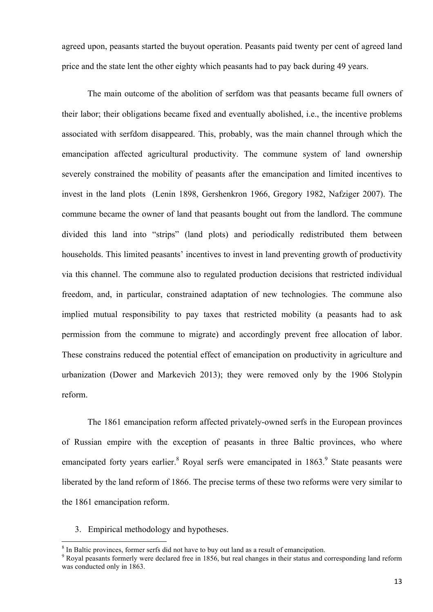agreed upon, peasants started the buyout operation. Peasants paid twenty per cent of agreed land price and the state lent the other eighty which peasants had to pay back during 49 years.

The main outcome of the abolition of serfdom was that peasants became full owners of their labor; their obligations became fixed and eventually abolished, i.e., the incentive problems associated with serfdom disappeared. This, probably, was the main channel through which the emancipation affected agricultural productivity. The commune system of land ownership severely constrained the mobility of peasants after the emancipation and limited incentives to invest in the land plots (Lenin 1898, Gershenkron 1966, Gregory 1982, Nafziger 2007). The commune became the owner of land that peasants bought out from the landlord. The commune divided this land into "strips" (land plots) and periodically redistributed them between households. This limited peasants' incentives to invest in land preventing growth of productivity via this channel. The commune also to regulated production decisions that restricted individual freedom, and, in particular, constrained adaptation of new technologies. The commune also implied mutual responsibility to pay taxes that restricted mobility (a peasants had to ask permission from the commune to migrate) and accordingly prevent free allocation of labor. These constrains reduced the potential effect of emancipation on productivity in agriculture and urbanization (Dower and Markevich 2013); they were removed only by the 1906 Stolypin reform.

The 1861 emancipation reform affected privately-owned serfs in the European provinces of Russian empire with the exception of peasants in three Baltic provinces, who where emancipated forty years earlier. <sup>8</sup> Royal serfs were emancipated in 1863. <sup>9</sup> State peasants were liberated by the land reform of 1866. The precise terms of these two reforms were very similar to the 1861 emancipation reform.

3. Empirical methodology and hypotheses.

<u> 1989 - Jan Samuel Barbara, político establecido de la provincia de la provincia de la provincia de la provinci</u>

 $\frac{8}{9}$  In Baltic provinces, former serfs did not have to buy out land as a result of emancipation.<br> $\frac{9}{9}$  Royal peasants formerly were declared free in 1856, but real changes in their status and corresponding land r was conducted only in 1863.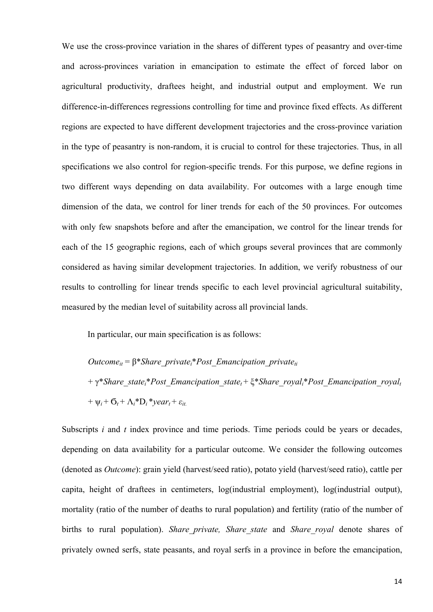We use the cross-province variation in the shares of different types of peasantry and over-time and across-provinces variation in emancipation to estimate the effect of forced labor on agricultural productivity, draftees height, and industrial output and employment. We run difference-in-differences regressions controlling for time and province fixed effects. As different regions are expected to have different development trajectories and the cross-province variation in the type of peasantry is non-random, it is crucial to control for these trajectories. Thus, in all specifications we also control for region-specific trends. For this purpose, we define regions in two different ways depending on data availability. For outcomes with a large enough time dimension of the data, we control for liner trends for each of the 50 provinces. For outcomes with only few snapshots before and after the emancipation, we control for the linear trends for each of the 15 geographic regions, each of which groups several provinces that are commonly considered as having similar development trajectories. In addition, we verify robustness of our results to controlling for linear trends specific to each level provincial agricultural suitability, measured by the median level of suitability across all provincial lands.

In particular, our main specification is as follows:

*Outcomeit* = β\**Share\_privatei*\**Post\_Emancipation\_privateti* + γ\**Share\_statei*\**Post\_Emancipation\_statet* + ξ\**Share\_royali*\**Post\_Emancipation\_royalt* +  $\Psi_i$  +  $\sigma_i$  +  $\Lambda_i$ <sup>\*</sup> $D_i$ <sup>\*</sup> $\gamma$ ear<sub>t</sub> +  $\varepsilon_{it}$ 

Subscripts *i* and *t* index province and time periods. Time periods could be years or decades, depending on data availability for a particular outcome. We consider the following outcomes (denoted as *Outcome*): grain yield (harvest/seed ratio), potato yield (harvest/seed ratio), cattle per capita, height of draftees in centimeters, log(industrial employment), log(industrial output), mortality (ratio of the number of deaths to rural population) and fertility (ratio of the number of births to rural population). *Share\_private, Share\_state* and *Share\_royal* denote shares of privately owned serfs, state peasants, and royal serfs in a province in before the emancipation,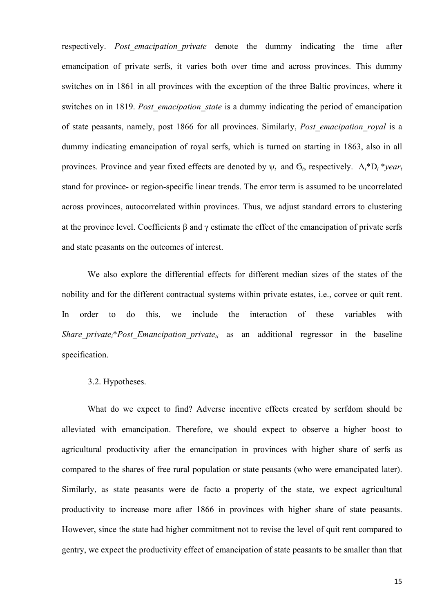respectively. *Post emacipation private* denote the dummy indicating the time after emancipation of private serfs, it varies both over time and across provinces. This dummy switches on in 1861 in all provinces with the exception of the three Baltic provinces, where it switches on in 1819. *Post emacipation state* is a dummy indicating the period of emancipation of state peasants, namely, post 1866 for all provinces. Similarly, *Post\_emacipation\_royal* is a dummy indicating emancipation of royal serfs, which is turned on starting in 1863, also in all provinces. Province and year fixed effects are denoted by  $\psi_i$  and  $\sigma_i$ , respectively.  $\Lambda_i^*D_i^*$ *yeart* stand for province- or region-specific linear trends. The error term is assumed to be uncorrelated across provinces, autocorrelated within provinces. Thus, we adjust standard errors to clustering at the province level. Coefficients β and γ estimate the effect of the emancipation of private serfs and state peasants on the outcomes of interest.

We also explore the differential effects for different median sizes of the states of the nobility and for the different contractual systems within private estates, i.e., corvee or quit rent. In order to do this, we include the interaction of these variables with *Share private*<sup>\*</sup>*Post Emancipation private<sub>ti</sub>* as an additional regressor in the baseline specification.

#### 3.2. Hypotheses.

What do we expect to find? Adverse incentive effects created by serfdom should be alleviated with emancipation. Therefore, we should expect to observe a higher boost to agricultural productivity after the emancipation in provinces with higher share of serfs as compared to the shares of free rural population or state peasants (who were emancipated later). Similarly, as state peasants were de facto a property of the state, we expect agricultural productivity to increase more after 1866 in provinces with higher share of state peasants. However, since the state had higher commitment not to revise the level of quit rent compared to gentry, we expect the productivity effect of emancipation of state peasants to be smaller than that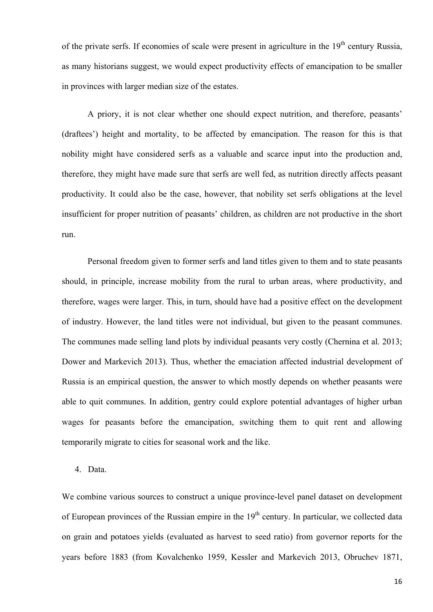of the private serfs. If economies of scale were present in agriculture in the  $19<sup>th</sup>$  century Russia, as many historians suggest, we would expect productivity effects of emancipation to be smaller in provinces with larger median size of the estates.

A priory, it is not clear whether one should expect nutrition, and therefore, peasants' (draftees') height and mortality, to be affected by emancipation. The reason for this is that nobility might have considered serfs as a valuable and scarce input into the production and, therefore, they might have made sure that serfs are well fed, as nutrition directly affects peasant productivity. It could also be the case, however, that nobility set serfs obligations at the level insufficient for proper nutrition of peasants' children, as children are not productive in the short run.

Personal freedom given to former serfs and land titles given to them and to state peasants should, in principle, increase mobility from the rural to urban areas, where productivity, and therefore, wages were larger. This, in turn, should have had a positive effect on the development of industry. However, the land titles were not individual, but given to the peasant communes. The communes made selling land plots by individual peasants very costly (Chernina et al. 2013; Dower and Markevich 2013). Thus, whether the emaciation affected industrial development of Russia is an empirical question, the answer to which mostly depends on whether peasants were able to quit communes. In addition, gentry could explore potential advantages of higher urban wages for peasants before the emancipation, switching them to quit rent and allowing temporarily migrate to cities for seasonal work and the like.

4. Data.

We combine various sources to construct a unique province-level panel dataset on development of European provinces of the Russian empire in the  $19<sup>th</sup>$  century. In particular, we collected data on grain and potatoes yields (evaluated as harvest to seed ratio) from governor reports for the years before 1883 (from Kovalchenko 1959, Kessler and Markevich 2013, Obruchev 1871,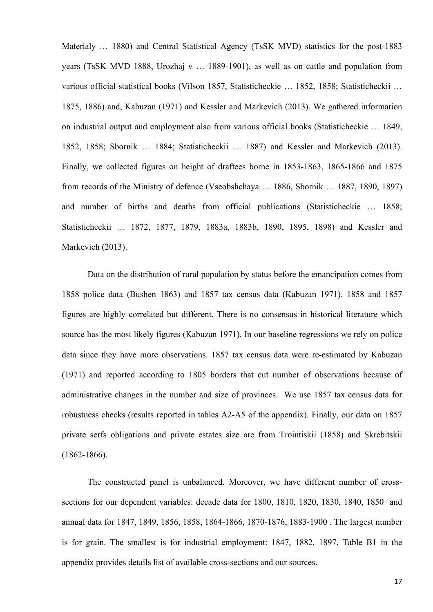Materialy ... 1880) and Central Statistical Agency (TsSK MVD) statistics for the post-1883 years (TsSK MVD 1888, Urozhaj v … 1889-1901), as well as on cattle and population from various official statistical books (Vilson 1857, Statisticheckie … 1852, 1858; Statisticheckii … 1875, 1886) and, Kabuzan (1971) and Kessler and Markevich (2013). We gathered information on industrial output and employment also from various official books (Statisticheckie … 1849, 1852, 1858; Sbornik … 1884; Statisticheckii … 1887) and Kessler and Markevich (2013). Finally, we collected figures on height of draftees borne in 1853-1863, 1865-1866 and 1875 from records of the Ministry of defence (Vseobshchaya … 1886, Sbornik … 1887, 1890, 1897) and number of births and deaths from official publications (Statisticheckie … 1858; Statisticheckii … 1872, 1877, 1879, 1883a, 1883b, 1890, 1895, 1898) and Kessler and Markevich (2013).

Data on the distribution of rural population by status before the emancipation comes from 1858 police data (Bushen 1863) and 1857 tax census data (Kabuzan 1971). 1858 and 1857 figures are highly correlated but different. There is no consensus in historical literature which source has the most likely figures (Kabuzan 1971). In our baseline regressions we rely on police data since they have more observations. 1857 tax census data were re-estimated by Kabuzan (1971) and reported according to 1805 borders that cut number of observations because of administrative changes in the number and size of provinces. We use 1857 tax census data for robustness checks (results reported in tables A2-A5 of the appendix). Finally, our data on 1857 private serfs obligations and private estates size are from Trointiskii (1858) and Skrebitskii (1862-1866).

The constructed panel is unbalanced. Moreover, we have different number of crosssections for our dependent variables: decade data for 1800, 1810, 1820, 1830, 1840, 1850 and annual data for 1847, 1849, 1856, 1858, 1864-1866, 1870-1876, 1883-1900 . The largest number is for grain. The smallest is for industrial employment: 1847, 1882, 1897. Table B1 in the appendix provides details list of available cross-sections and our sources.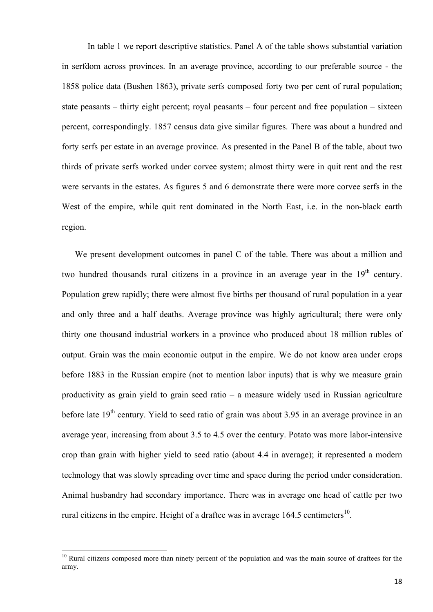In table 1 we report descriptive statistics. Panel A of the table shows substantial variation in serfdom across provinces. In an average province, according to our preferable source - the 1858 police data (Bushen 1863), private serfs composed forty two per cent of rural population; state peasants – thirty eight percent; royal peasants – four percent and free population – sixteen percent, correspondingly. 1857 census data give similar figures. There was about a hundred and forty serfs per estate in an average province. As presented in the Panel B of the table, about two thirds of private serfs worked under corvee system; almost thirty were in quit rent and the rest were servants in the estates. As figures 5 and 6 demonstrate there were more corvee serfs in the West of the empire, while quit rent dominated in the North East, i.e. in the non-black earth region.

We present development outcomes in panel C of the table. There was about a million and two hundred thousands rural citizens in a province in an average year in the  $19<sup>th</sup>$  century. Population grew rapidly; there were almost five births per thousand of rural population in a year and only three and a half deaths. Average province was highly agricultural; there were only thirty one thousand industrial workers in a province who produced about 18 million rubles of output. Grain was the main economic output in the empire. We do not know area under crops before 1883 in the Russian empire (not to mention labor inputs) that is why we measure grain productivity as grain yield to grain seed ratio – a measure widely used in Russian agriculture before late  $19<sup>th</sup>$  century. Yield to seed ratio of grain was about 3.95 in an average province in an average year, increasing from about 3.5 to 4.5 over the century. Potato was more labor-intensive crop than grain with higher yield to seed ratio (about 4.4 in average); it represented a modern technology that was slowly spreading over time and space during the period under consideration. Animal husbandry had secondary importance. There was in average one head of cattle per two rural citizens in the empire. Height of a draftee was in average  $164.5$  centimeters<sup>10</sup>.

<u> 1989 - Jan Samuel Barbara, político establecido de la provincia de la provincia de la provincia de la provinci</u>

 $10$  Rural citizens composed more than ninety percent of the population and was the main source of draftees for the army.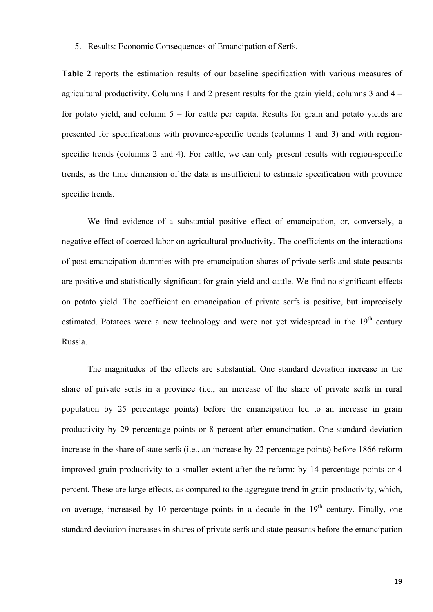#### 5. Results: Economic Consequences of Emancipation of Serfs.

**Table 2** reports the estimation results of our baseline specification with various measures of agricultural productivity. Columns 1 and 2 present results for the grain yield; columns 3 and  $4$ for potato yield, and column 5 – for cattle per capita. Results for grain and potato yields are presented for specifications with province-specific trends (columns 1 and 3) and with regionspecific trends (columns 2 and 4). For cattle, we can only present results with region-specific trends, as the time dimension of the data is insufficient to estimate specification with province specific trends.

We find evidence of a substantial positive effect of emancipation, or, conversely, a negative effect of coerced labor on agricultural productivity. The coefficients on the interactions of post-emancipation dummies with pre-emancipation shares of private serfs and state peasants are positive and statistically significant for grain yield and cattle. We find no significant effects on potato yield. The coefficient on emancipation of private serfs is positive, but imprecisely estimated. Potatoes were a new technology and were not yet widespread in the 19<sup>th</sup> century Russia.

The magnitudes of the effects are substantial. One standard deviation increase in the share of private serfs in a province (i.e., an increase of the share of private serfs in rural population by 25 percentage points) before the emancipation led to an increase in grain productivity by 29 percentage points or 8 percent after emancipation. One standard deviation increase in the share of state serfs (i.e., an increase by 22 percentage points) before 1866 reform improved grain productivity to a smaller extent after the reform: by 14 percentage points or 4 percent. These are large effects, as compared to the aggregate trend in grain productivity, which, on average, increased by 10 percentage points in a decade in the  $19<sup>th</sup>$  century. Finally, one standard deviation increases in shares of private serfs and state peasants before the emancipation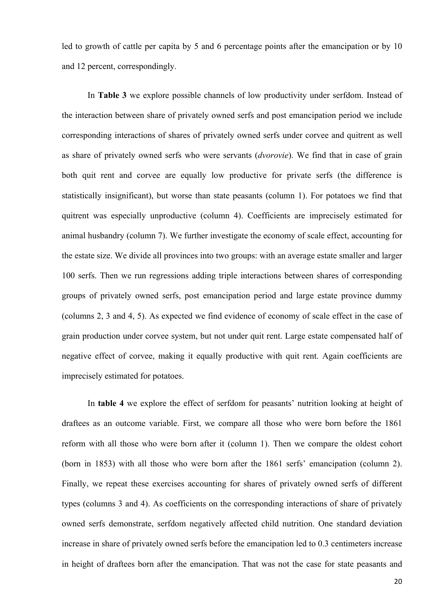led to growth of cattle per capita by 5 and 6 percentage points after the emancipation or by 10 and 12 percent, correspondingly.

In **Table 3** we explore possible channels of low productivity under serfdom. Instead of the interaction between share of privately owned serfs and post emancipation period we include corresponding interactions of shares of privately owned serfs under corvee and quitrent as well as share of privately owned serfs who were servants (*dvorovie*). We find that in case of grain both quit rent and corvee are equally low productive for private serfs (the difference is statistically insignificant), but worse than state peasants (column 1). For potatoes we find that quitrent was especially unproductive (column 4). Coefficients are imprecisely estimated for animal husbandry (column 7). We further investigate the economy of scale effect, accounting for the estate size. We divide all provinces into two groups: with an average estate smaller and larger 100 serfs. Then we run regressions adding triple interactions between shares of corresponding groups of privately owned serfs, post emancipation period and large estate province dummy (columns 2, 3 and 4, 5). As expected we find evidence of economy of scale effect in the case of grain production under corvee system, but not under quit rent. Large estate compensated half of negative effect of corvee, making it equally productive with quit rent. Again coefficients are imprecisely estimated for potatoes.

In **table 4** we explore the effect of serfdom for peasants' nutrition looking at height of draftees as an outcome variable. First, we compare all those who were born before the 1861 reform with all those who were born after it (column 1). Then we compare the oldest cohort (born in 1853) with all those who were born after the 1861 serfs' emancipation (column 2). Finally, we repeat these exercises accounting for shares of privately owned serfs of different types (columns 3 and 4). As coefficients on the corresponding interactions of share of privately owned serfs demonstrate, serfdom negatively affected child nutrition. One standard deviation increase in share of privately owned serfs before the emancipation led to 0.3 centimeters increase in height of draftees born after the emancipation. That was not the case for state peasants and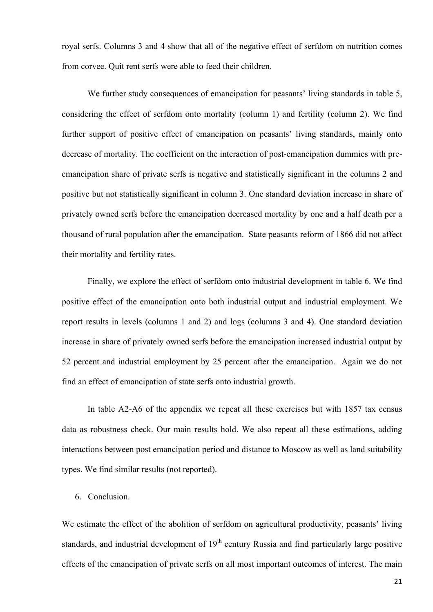royal serfs. Columns 3 and 4 show that all of the negative effect of serfdom on nutrition comes from corvee. Quit rent serfs were able to feed their children.

We further study consequences of emancipation for peasants' living standards in table 5, considering the effect of serfdom onto mortality (column 1) and fertility (column 2). We find further support of positive effect of emancipation on peasants' living standards, mainly onto decrease of mortality. The coefficient on the interaction of post-emancipation dummies with preemancipation share of private serfs is negative and statistically significant in the columns 2 and positive but not statistically significant in column 3. One standard deviation increase in share of privately owned serfs before the emancipation decreased mortality by one and a half death per a thousand of rural population after the emancipation. State peasants reform of 1866 did not affect their mortality and fertility rates.

Finally, we explore the effect of serfdom onto industrial development in table 6. We find positive effect of the emancipation onto both industrial output and industrial employment. We report results in levels (columns 1 and 2) and logs (columns 3 and 4). One standard deviation increase in share of privately owned serfs before the emancipation increased industrial output by 52 percent and industrial employment by 25 percent after the emancipation. Again we do not find an effect of emancipation of state serfs onto industrial growth.

In table A2-A6 of the appendix we repeat all these exercises but with 1857 tax census data as robustness check. Our main results hold. We also repeat all these estimations, adding interactions between post emancipation period and distance to Moscow as well as land suitability types. We find similar results (not reported).

### 6. Conclusion.

We estimate the effect of the abolition of serfdom on agricultural productivity, peasants' living standards, and industrial development of  $19<sup>th</sup>$  century Russia and find particularly large positive effects of the emancipation of private serfs on all most important outcomes of interest. The main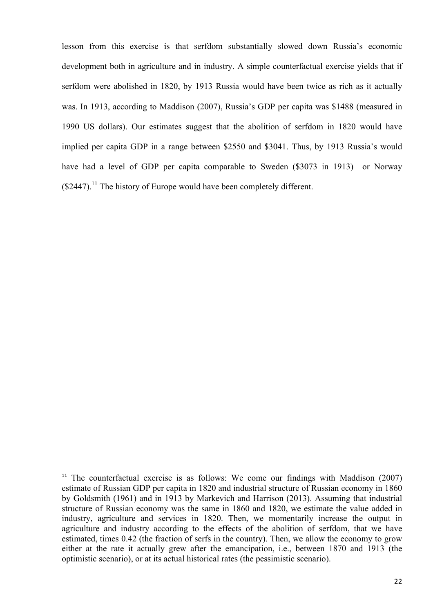lesson from this exercise is that serfdom substantially slowed down Russia's economic development both in agriculture and in industry. A simple counterfactual exercise yields that if serfdom were abolished in 1820, by 1913 Russia would have been twice as rich as it actually was. In 1913, according to Maddison (2007), Russia's GDP per capita was \$1488 (measured in 1990 US dollars). Our estimates suggest that the abolition of serfdom in 1820 would have implied per capita GDP in a range between \$2550 and \$3041. Thus, by 1913 Russia's would have had a level of GDP per capita comparable to Sweden (\$3073 in 1913) or Norway  $($2447).$ <sup>11</sup> The history of Europe would have been completely different.

<u> 1989 - Jan Samuel Barbara, político establecido de la provincia de la provincia de la provincia de la provinci</u>

<sup>&</sup>lt;sup>11</sup> The counterfactual exercise is as follows: We come our findings with Maddison  $(2007)$ estimate of Russian GDP per capita in 1820 and industrial structure of Russian economy in 1860 by Goldsmith (1961) and in 1913 by Markevich and Harrison (2013). Assuming that industrial structure of Russian economy was the same in 1860 and 1820, we estimate the value added in industry, agriculture and services in 1820. Then, we momentarily increase the output in agriculture and industry according to the effects of the abolition of serfdom, that we have estimated, times 0.42 (the fraction of serfs in the country). Then, we allow the economy to grow either at the rate it actually grew after the emancipation, i.e., between 1870 and 1913 (the optimistic scenario), or at its actual historical rates (the pessimistic scenario).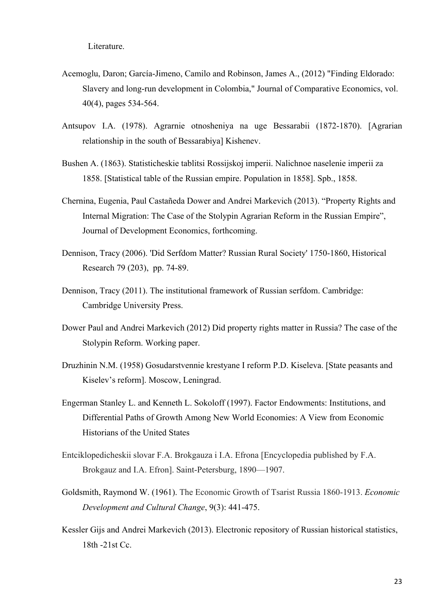Literature.

- Acemoglu, Daron; García-Jimeno, Camilo and Robinson, James A., (2012) "Finding Eldorado: Slavery and long-run development in Colombia," Journal of Comparative Economics, vol. 40(4), pages 534-564.
- Antsupov I.A. (1978). Agrarnie otnosheniya na uge Bessarabii (1872-1870). [Agrarian relationship in the south of Bessarabiya] Kishenev.
- Bushen A. (1863). Statisticheskie tablitsi Rossijskoj imperii. Nalichnoe naselenie imperii za 1858. [Statistical table of the Russian empire. Population in 1858]. Spb., 1858.
- Chernina, Eugenia, Paul Castañeda Dower and Andrei Markevich (2013). "Property Rights and Internal Migration: The Case of the Stolypin Agrarian Reform in the Russian Empire", Journal of Development Economics, forthcoming.
- Dennison, Tracy (2006). 'Did Serfdom Matter? Russian Rural Society' 1750-1860, Historical Research 79 (203), pp. 74-89.
- Dennison, Tracy (2011). The institutional framework of Russian serfdom. Cambridge: Cambridge University Press.
- Dower Paul and Andrei Markevich (2012) Did property rights matter in Russia? The case of the Stolypin Reform. Working paper.
- Druzhinin N.M. (1958) Gosudarstvennie krestyane I reform P.D. Kiseleva. [State peasants and Kiselev's reform]. Moscow, Leningrad.
- Engerman Stanley L. and Kenneth L. Sokoloff (1997). Factor Endowments: Institutions, and Differential Paths of Growth Among New World Economies: A View from Economic Historians of the United States
- Entciklopedicheskii slovar F.A. Brokgauza i I.A. Efrona [Encyclopedia published by F.A. Brokgauz and I.A. Efron]. Saint-Petersburg, 1890—1907.
- Goldsmith, Raymond W. (1961). The Economic Growth of Tsarist Russia 1860-1913. *Economic Development and Cultural Change*, 9(3): 441-475.
- Kessler Gijs and Andrei Markevich (2013). Electronic repository of Russian historical statistics, 18th -21st Cc.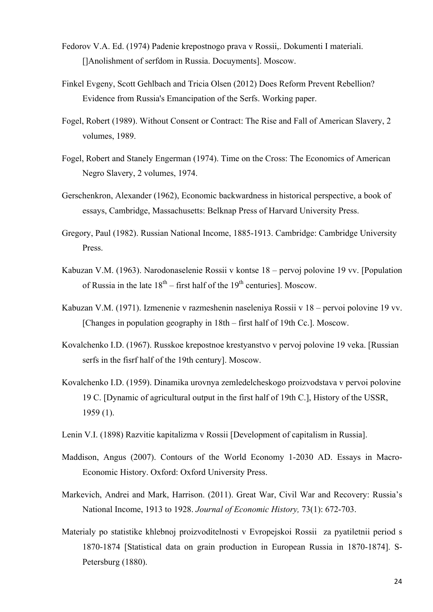- Fedorov V.A. Ed. (1974) Padenie krepostnogo prava v Rossii,. Dokumenti I materiali. []Anolishment of serfdom in Russia. Docuyments]. Moscow.
- Finkel Evgeny, Scott Gehlbach and Tricia Olsen (2012) Does Reform Prevent Rebellion? Evidence from Russia's Emancipation of the Serfs. Working paper.
- Fogel, Robert (1989). Without Consent or Contract: The Rise and Fall of American Slavery, 2 volumes, 1989.
- Fogel, Robert and Stanely Engerman (1974). Time on the Cross: The Economics of American Negro Slavery, 2 volumes, 1974.
- Gerschenkron, Alexander (1962), Economic backwardness in historical perspective, a book of essays, Cambridge, Massachusetts: Belknap Press of Harvard University Press.
- Gregory, Paul (1982). Russian National Income, 1885-1913. Cambridge: Cambridge University Press.
- Kabuzan V.M. (1963). Narodonaselenie Rossii v kontse 18 pervoj polovine 19 vv. [Population of Russia in the late  $18^{th}$  – first half of the  $19^{th}$  centuries]. Moscow.
- Kabuzan V.M. (1971). Izmenenie v razmeshenin naseleniya Rossii v 18 pervoi polovine 19 vv. [Changes in population geography in 18th – first half of 19th Cc.]. Moscow.
- Kovalchenko I.D. (1967). Russkoe krepostnoe krestyanstvo v pervoj polovine 19 veka. [Russian serfs in the fisrf half of the 19th century]. Moscow.
- Kovalchenko I.D. (1959). Dinamika urovnya zemledelcheskogo proizvodstava v pervoi polovine 19 C. [Dynamic of agricultural output in the first half of 19th C.], History of the USSR, 1959 (1).
- Lenin V.I. (1898) Razvitie kapitalizma v Rossii [Development of capitalism in Russia].
- Maddison, Angus (2007). Contours of the World Economy 1-2030 AD. Essays in Macro-Economic History. Oxford: Oxford University Press.
- Markevich, Andrei and Mark, Harrison. (2011). Great War, Civil War and Recovery: Russia's National Income, 1913 to 1928. *Journal of Economic History,* 73(1): 672-703.
- Materialy po statistike khlebnoj proizvoditelnosti v Evropejskoi Rossii za pyatiletnii period s 1870-1874 [Statistical data on grain production in European Russia in 1870-1874]. S-Petersburg (1880).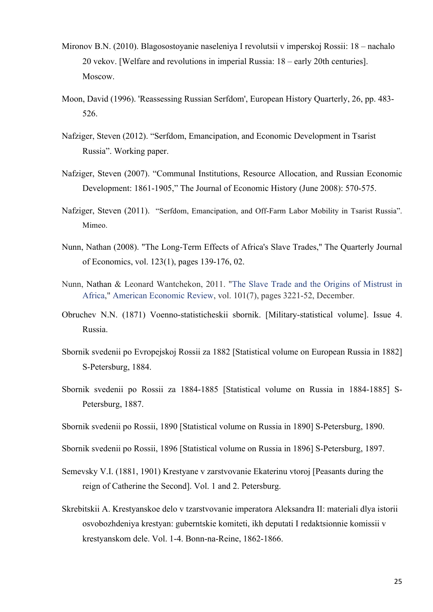- Mironov B.N. (2010). Blagosostoyanie naseleniya I revolutsii v imperskoj Rossii: 18 nachalo 20 vekov. [Welfare and revolutions in imperial Russia: 18 – early 20th centuries]. Moscow.
- Moon, David (1996). 'Reassessing Russian Serfdom', European History Quarterly, 26, pp. 483- 526.
- Nafziger, Steven (2012). "Serfdom, Emancipation, and Economic Development in Tsarist Russia". Working paper.
- Nafziger, Steven (2007). "Communal Institutions, Resource Allocation, and Russian Economic Development: 1861-1905," The Journal of Economic History (June 2008): 570-575.
- Nafziger, Steven (2011). "Serfdom, Emancipation, and Off-Farm Labor Mobility in Tsarist Russia". Mimeo.
- Nunn, Nathan (2008). "The Long-Term Effects of Africa's Slave Trades," The Quarterly Journal of Economics, vol. 123(1), pages 139-176, 02.
- Nunn, Nathan & Leonard Wantchekon, 2011. "The Slave Trade and the Origins of Mistrust in Africa," American Economic Review, vol. 101(7), pages 3221-52, December.
- Obruchev N.N. (1871) Voenno-statisticheskii sbornik. [Military-statistical volume]. Issue 4. Russia.
- Sbornik svedenii po Evropejskoj Rossii za 1882 [Statistical volume on European Russia in 1882] S-Petersburg, 1884.
- Sbornik svedenii po Rossii za 1884-1885 [Statistical volume on Russia in 1884-1885] S-Petersburg, 1887.
- Sbornik svedenii po Rossii, 1890 [Statistical volume on Russia in 1890] S-Petersburg, 1890.
- Sbornik svedenii po Rossii, 1896 [Statistical volume on Russia in 1896] S-Petersburg, 1897.
- Semevsky V.I. (1881, 1901) Krestyane v zarstvovanie Ekaterinu vtoroj [Peasants during the reign of Catherine the Second]. Vol. 1 and 2. Petersburg.
- Skrebitskii A. Krestyanskoe delo v tzarstvovanie imperatora Aleksandra II: materiali dlya istorii osvobozhdeniya krestyan: guberntskie komiteti, ikh deputati I redaktsionnie komissii v krestyanskom dele. Vol. 1-4. Bonn-na-Reine, 1862-1866.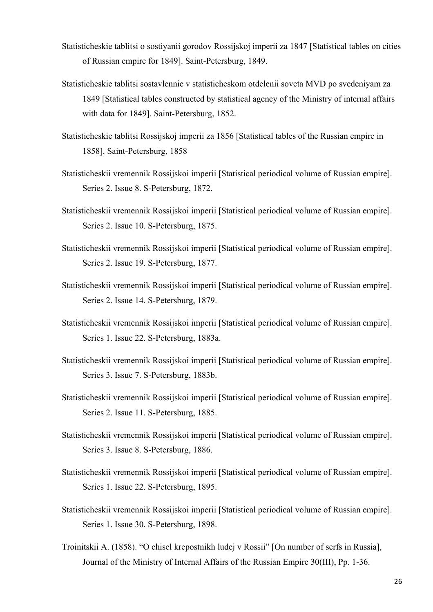- Statisticheskie tablitsi o sostiyanii gorodov Rossijskoj imperii za 1847 [Statistical tables on cities of Russian empire for 1849]. Saint-Petersburg, 1849.
- Statisticheskie tablitsi sostavlennie v statisticheskom otdelenii soveta MVD po svedeniyam za 1849 [Statistical tables constructed by statistical agency of the Ministry of internal affairs with data for 1849]. Saint-Petersburg, 1852.
- Statisticheskie tablitsi Rossijskoj imperii za 1856 [Statistical tables of the Russian empire in 1858]. Saint-Petersburg, 1858
- Statisticheskii vremennik Rossijskoi imperii [Statistical periodical volume of Russian empire]. Series 2. Issue 8. S-Petersburg, 1872.
- Statisticheskii vremennik Rossijskoi imperii [Statistical periodical volume of Russian empire]. Series 2. Issue 10. S-Petersburg, 1875.
- Statisticheskii vremennik Rossijskoi imperii [Statistical periodical volume of Russian empire]. Series 2. Issue 19. S-Petersburg, 1877.
- Statisticheskii vremennik Rossijskoi imperii [Statistical periodical volume of Russian empire]. Series 2. Issue 14. S-Petersburg, 1879.
- Statisticheskii vremennik Rossijskoi imperii [Statistical periodical volume of Russian empire]. Series 1. Issue 22. S-Petersburg, 1883a.
- Statisticheskii vremennik Rossijskoi imperii [Statistical periodical volume of Russian empire]. Series 3. Issue 7. S-Petersburg, 1883b.
- Statisticheskii vremennik Rossijskoi imperii [Statistical periodical volume of Russian empire]. Series 2. Issue 11. S-Petersburg, 1885.
- Statisticheskii vremennik Rossijskoi imperii [Statistical periodical volume of Russian empire]. Series 3. Issue 8. S-Petersburg, 1886.
- Statisticheskii vremennik Rossijskoi imperii [Statistical periodical volume of Russian empire]. Series 1. Issue 22. S-Petersburg, 1895.
- Statisticheskii vremennik Rossijskoi imperii [Statistical periodical volume of Russian empire]. Series 1. Issue 30. S-Petersburg, 1898.
- Troinitskii A. (1858). "O chisel krepostnikh ludej v Rossii" [On number of serfs in Russia], Journal of the Ministry of Internal Affairs of the Russian Empire 30(III), Pp. 1-36.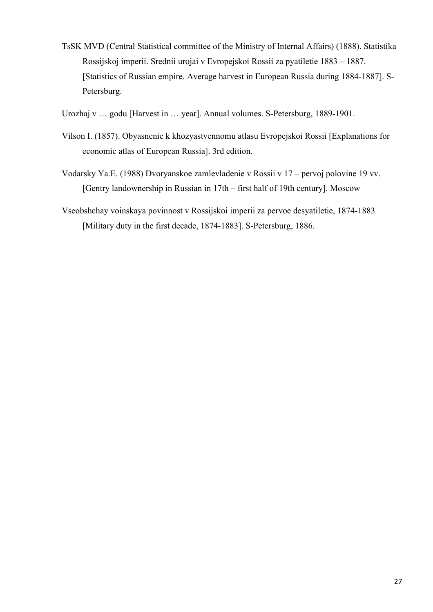- TsSK MVD (Central Statistical committee of the Ministry of Internal Affairs) (1888). Statistika Rossijskoj imperii. Srednii urojai v Evropejskoi Rossii za pyatiletie 1883 – 1887. [Statistics of Russian empire. Average harvest in European Russia during 1884-1887]. S-Petersburg.
- Urozhaj v … godu [Harvest in … year]. Annual volumes. S-Petersburg, 1889-1901.
- Vilson I. (1857). Obyasnenie k khozyastvennomu atlasu Evropejskoi Rossii [Explanations for economic atlas of European Russia]. 3rd edition.
- Vodarsky Ya.E. (1988) Dvoryanskoe zamlevladenie v Rossii v 17 pervoj polovine 19 vv. [Gentry landownership in Russian in 17th – first half of 19th century]. Moscow
- Vseobshchay voinskaya povinnost v Rossijskoi imperii za pervoe desyatiletie, 1874-1883 [Military duty in the first decade, 1874-1883]. S-Petersburg, 1886.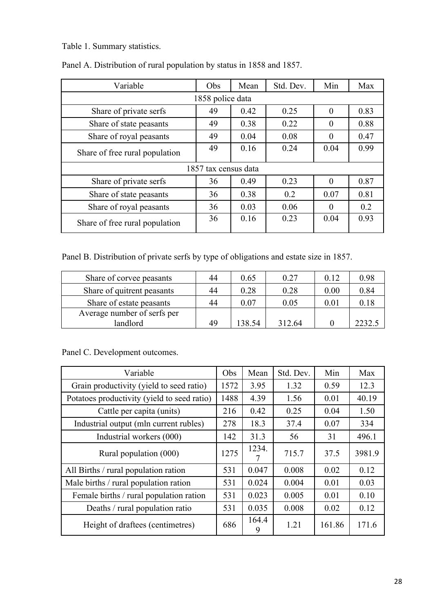Table 1. Summary statistics.

| Variable                       | Obs                  | Mean | Std. Dev. | Min      | Max  |
|--------------------------------|----------------------|------|-----------|----------|------|
|                                | 1858 police data     |      |           |          |      |
| Share of private serfs         | 49                   | 0.42 | 0.25      | $\theta$ | 0.83 |
| Share of state peasants        | 49                   | 0.38 | 0.22      | $\theta$ | 0.88 |
| Share of royal peasants        | 49                   | 0.04 | 0.08      | $\theta$ | 0.47 |
| Share of free rural population | 49                   | 0.16 | 0.24      | 0.04     | 0.99 |
|                                | 1857 tax census data |      |           |          |      |
| Share of private serfs         | 36                   | 0.49 | 0.23      | $\theta$ | 0.87 |
| Share of state peasants        | 36                   | 0.38 | 0.2       | 0.07     | 0.81 |
| Share of royal peasants        | 36                   | 0.03 | 0.06      | $\theta$ | 0.2  |
| Share of free rural population | 36                   | 0.16 | 0.23      | 0.04     | 0.93 |

Panel A. Distribution of rural population by status in 1858 and 1857.

Panel B. Distribution of private serfs by type of obligations and estate size in 1857.

| Share of corvee peasants    | 44 | 0.65   | 0.27   | 0.12 | 0.98   |
|-----------------------------|----|--------|--------|------|--------|
| Share of quitrent peasants  | 44 | 0.28   | 0.28   | 0.00 | 0.84   |
| Share of estate peasants    | 44 | 0.07   | 0.05   | 0.01 | 0.18   |
| Average number of serfs per |    |        |        |      |        |
| landlord                    | 49 | 138 54 | 312.64 |      | 2232.5 |

Panel C. Development outcomes.

| Variable                                    | <b>Obs</b> | Mean       | Std. Dev. | Min    | Max    |
|---------------------------------------------|------------|------------|-----------|--------|--------|
| Grain productivity (yield to seed ratio)    | 1572       | 3.95       | 1.32      | 0.59   | 12.3   |
| Potatoes productivity (yield to seed ratio) | 1488       | 4.39       | 1.56      | 0.01   | 40.19  |
| Cattle per capita (units)                   | 216        | 0.42       | 0.25      | 0.04   | 1.50   |
| Industrial output (mln current rubles)      | 278        | 18.3       | 37.4      | 0.07   | 334    |
| Industrial workers (000)                    | 142        | 31.3       | 56        | 31     | 496.1  |
| Rural population (000)                      | 1275       | 1234.      | 715.7     | 37.5   | 3981.9 |
| All Births / rural population ration        | 531        | 0.047      | 0.008     | 0.02   | 0.12   |
| Male births / rural population ration       | 531        | 0.024      | 0.004     | 0.01   | 0.03   |
| Female births / rural population ration     | 531        | 0.023      | 0.005     | 0.01   | 0.10   |
| Deaths / rural population ratio             | 531        | 0.035      | 0.008     | 0.02   | 0.12   |
| Height of draftees (centimetres)            | 686        | 164.4<br>9 | 1.21      | 161.86 | 171.6  |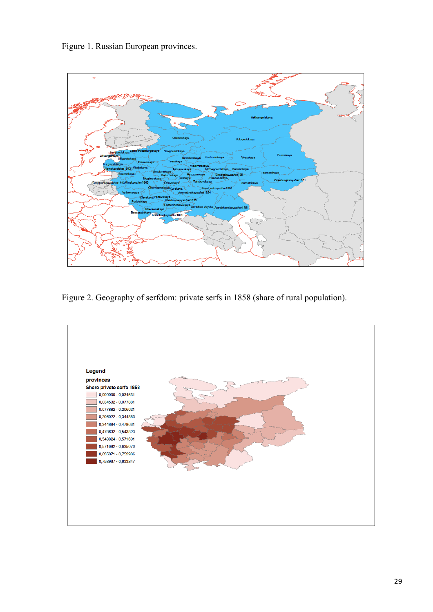Figure 1. Russian European provinces.



Figure 2. Geography of serfdom: private serfs in 1858 (share of rural population).

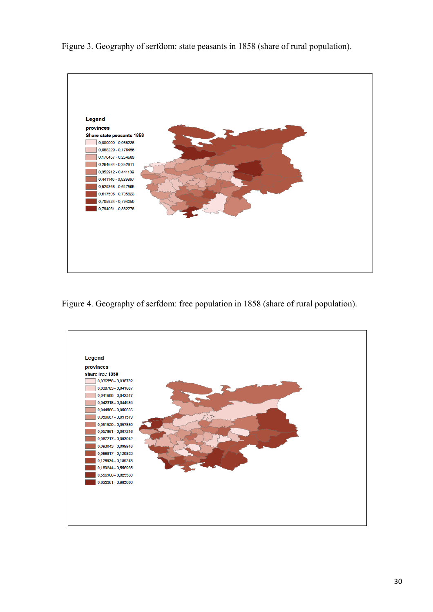Figure 3. Geography of serfdom: state peasants in 1858 (share of rural population).



Figure 4. Geography of serfdom: free population in 1858 (share of rural population).

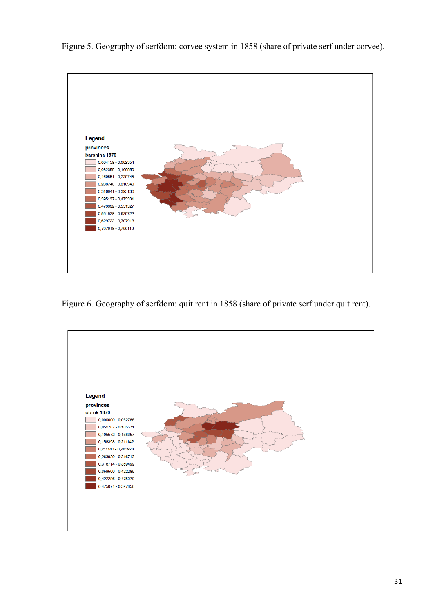Figure 5. Geography of serfdom: corvee system in 1858 (share of private serf under corvee).



Figure 6. Geography of serfdom: quit rent in 1858 (share of private serf under quit rent).

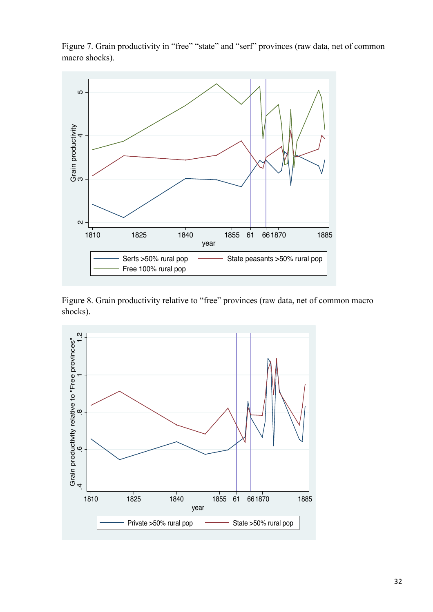

Figure 7. Grain productivity in "free" "state" and "serf" provinces (raw data, net of common macro shocks).

Figure 8. Grain productivity relative to "free" provinces (raw data, net of common macro shocks).

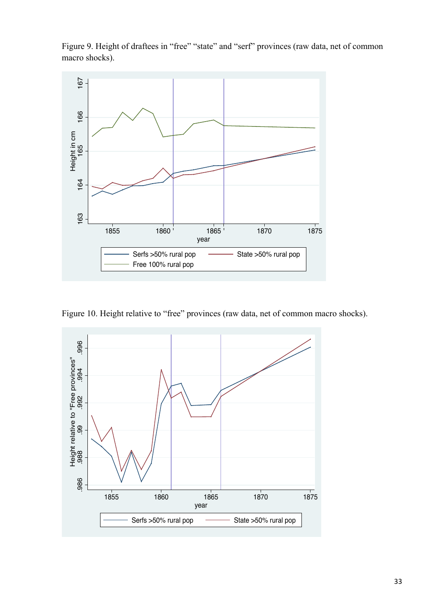Figure 9. Height of draftees in "free" "state" and "serf" provinces (raw data, net of common macro shocks).



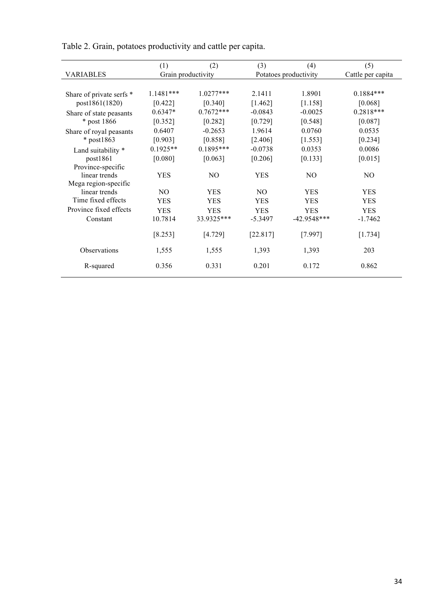|             |             |                                         |                       | (5)                                        |
|-------------|-------------|-----------------------------------------|-----------------------|--------------------------------------------|
|             |             |                                         |                       | Cattle per capita                          |
|             |             |                                         |                       |                                            |
| $1.1481***$ | $1.0277***$ | 2.1411                                  | 1.8901                | $0.1884***$                                |
| [0.422]     | [0.340]     | [1.462]                                 | [1.158]               | [0.068]                                    |
| $0.6347*$   | $0.7672***$ | $-0.0843$                               | $-0.0025$             | $0.2818***$                                |
| [0.352]     | [0.282]     | [0.729]                                 | [0.548]               | [0.087]                                    |
| 0.6407      | $-0.2653$   | 1.9614                                  | 0.0760                | 0.0535                                     |
| [0.903]     | [0.858]     | [2.406]                                 | [1.553]               | [0.234]                                    |
| $0.1925**$  | $0.1895***$ | $-0.0738$                               | 0.0353                | 0.0086                                     |
| [0.080]     | [0.063]     | [0.206]                                 | [0.133]               | [0.015]                                    |
|             |             |                                         |                       |                                            |
| <b>YES</b>  | NO.         | <b>YES</b>                              | NO.                   | N <sub>O</sub>                             |
|             |             |                                         |                       |                                            |
|             |             |                                         |                       | <b>YES</b>                                 |
| <b>YES</b>  | <b>YES</b>  | <b>YES</b>                              | <b>YES</b>            | <b>YES</b>                                 |
| <b>YES</b>  | <b>YES</b>  | <b>YES</b>                              | <b>YES</b>            | <b>YES</b>                                 |
| 10.7814     | 33.9325***  | $-5.3497$                               | $-42.9548***$         | $-1.7462$                                  |
| [8.253]     | [4.729]     | [22.817]                                | [7.997]               | [1.734]                                    |
| 1,555       | 1,555       | 1,393                                   | 1,393                 | 203                                        |
| 0.356       | 0.331       | 0.201                                   | 0.172                 | 0.862                                      |
|             | (1)<br>NO.  | (2)<br>Grain productivity<br><b>YES</b> | (3)<br>N <sub>O</sub> | (4)<br>Potatoes productivity<br><b>YES</b> |

Table 2. Grain, potatoes productivity and cattle per capita.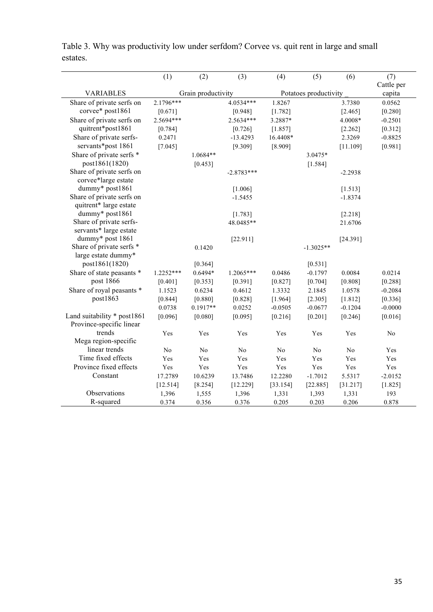|                                        | (1)         | (2)                | (3)            | (4)            | (5)                   | (6)            | (7)                  |
|----------------------------------------|-------------|--------------------|----------------|----------------|-----------------------|----------------|----------------------|
| <b>VARIABLES</b>                       |             | Grain productivity |                |                | Potatoes productivity |                | Cattle per<br>capita |
| Share of private serfs on              | 2.1796***   |                    | 4.0534***      | 1.8267         |                       | 3.7380         | 0.0562               |
| corvee* post1861                       | [0.671]     |                    | [0.948]        | [1.782]        |                       | [2.465]        | [0.280]              |
| Share of private serfs on              | 2.5694***   |                    | 2.5634***      | 3.2887*        |                       | 4.0008*        | $-0.2501$            |
| quitrent*post1861                      | [0.784]     |                    | [0.726]        | [1.857]        |                       | [2.262]        | [0.312]              |
| Share of private serfs-                | 0.2471      |                    | $-13.4293$     | 16.4408*       |                       | 2.3269         | $-0.8825$            |
| servants*post 1861                     | [7.045]     |                    | [9.309]        | [8.909]        |                       | [11.109]       | [0.981]              |
| Share of private serfs *               |             | 1.0684**           |                |                | 3.0475*               |                |                      |
| post1861(1820)                         |             | [0.453]            |                |                | [1.584]               |                |                      |
| Share of private serfs on              |             |                    | $-2.8783***$   |                |                       | $-2.2938$      |                      |
| corvee*large estate<br>dummy* post1861 |             |                    |                |                |                       |                |                      |
| Share of private serfs on              |             |                    | [1.006]        |                |                       | [1.513]        |                      |
| quitrent* large estate                 |             |                    | $-1.5455$      |                |                       | $-1.8374$      |                      |
| dummy* post1861                        |             |                    | [1.783]        |                |                       | [2.218]        |                      |
| Share of private serfs-                |             |                    | 48.0485**      |                |                       | 21.6706        |                      |
| servants* large estate                 |             |                    |                |                |                       |                |                      |
| dummy* post 1861                       |             |                    | [22.911]       |                |                       | [24.391]       |                      |
| Share of private serfs *               |             | 0.1420             |                |                | $-1.3025**$           |                |                      |
| large estate dummy*                    |             |                    |                |                |                       |                |                      |
| post1861(1820)                         |             | [0.364]            |                |                | [0.531]               |                |                      |
| Share of state peasants *              | $1.2252***$ | $0.6494*$          | 1.2065***      | 0.0486         | $-0.1797$             | 0.0084         | 0.0214               |
| post 1866                              | [0.401]     | [0.353]            | [0.391]        | [0.827]        | [0.704]               | [0.808]        | [0.288]              |
| Share of royal peasants *              | 1.1523      | 0.6234             | 0.4612         | 1.3332         | 2.1845                | 1.0578         | $-0.2084$            |
| post1863                               | [0.844]     | [0.880]            | [0.828]        | [1.964]        | [2.305]               | [1.812]        | [0.336]              |
|                                        | 0.0738      | $0.1917**$         | 0.0252         | $-0.0505$      | $-0.0677$             | $-0.1204$      | $-0.0000$            |
| Land suitability * post1861            | [0.096]     | [0.080]            | [0.095]        | [0.216]        | [0.201]               | [0.246]        | [0.016]              |
| Province-specific linear               |             |                    |                |                |                       |                |                      |
| trends                                 | Yes         | Yes                | Yes            | Yes            | Yes                   | Yes            | N <sub>0</sub>       |
| Mega region-specific                   |             |                    |                |                |                       |                |                      |
| linear trends                          | No          | N <sub>0</sub>     | N <sub>0</sub> | N <sub>0</sub> | N <sub>0</sub>        | N <sub>0</sub> | Yes                  |
| Time fixed effects                     | Yes         | Yes                | Yes            | Yes            | Yes                   | Yes            | Yes                  |
| Province fixed effects                 | Yes         | Yes                | Yes            | Yes            | Yes                   | Yes            | Yes                  |
| Constant                               | 17.2789     | 10.6239            | 13.7486        | 12.2280        | $-1.7012$             | 5.5317         | $-2.0152$            |
|                                        | [12.514]    | [8.254]            | [12.229]       | [33.154]       | [22.885]              | [31.217]       | [1.825]              |
| Observations                           | 1,396       | 1,555              | 1,396          | 1,331          | 1,393                 | 1,331          | 193                  |
| R-squared                              | 0.374       | 0.356              | 0.376          | 0.205          | 0.203                 | 0.206          | 0.878                |

Table 3. Why was productivity low under serfdom? Corvee vs. quit rent in large and small estates.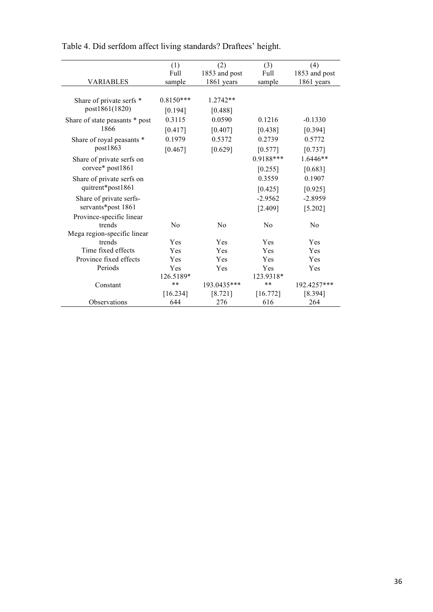|                                | (1)         | (2)           | (3)       | (4)           |
|--------------------------------|-------------|---------------|-----------|---------------|
|                                | Full        | 1853 and post | Full      | 1853 and post |
| <b>VARIABLES</b>               | sample      | 1861 years    | sample    | 1861 years    |
| Share of private serfs *       | $0.8150***$ | $1.2742**$    |           |               |
| post1861(1820)                 | [0.194]     | [0.488]       |           |               |
| Share of state peasants * post | 0.3115      | 0.0590        | 0.1216    | $-0.1330$     |
| 1866                           | [0.417]     | [0.407]       | [0.438]   | [0.394]       |
| Share of royal peasants *      | 0.1979      | 0.5372        | 0.2739    | 0.5772        |
| post1863                       | [0.467]     | [0.629]       | [0.577]   | $[0.737]$     |
| Share of private serfs on      |             |               | 0.9188*** | $1.6446**$    |
| corvee* post1861               |             |               | [0.255]   | [0.683]       |
| Share of private serfs on      |             |               | 0.3559    | 0.1907        |
| quitrent*post1861              |             |               | [0.425]   | [0.925]       |
| Share of private serfs-        |             |               | $-2.9562$ | $-2.8959$     |
| servants*post 1861             |             |               | [2.409]   | [5.202]       |
| Province-specific linear       |             |               |           |               |
| trends                         | No          | No            | No        | No            |
| Mega region-specific linear    |             |               |           |               |
| trends                         | Yes         | Yes           | Yes       | Yes           |
| Time fixed effects             | Yes         | Yes           | Yes       | Yes           |
| Province fixed effects         | Yes         | Yes           | Yes       | Yes           |
| Periods                        | Yes         | Yes           | Yes       | Yes           |
|                                | 126.5189*   |               | 123.9318* |               |
| Constant                       | $***$       | 193.0435***   | $* *$     | 192.4257***   |
|                                | $[16.234]$  | [8.721]       | [16.772]  | [8.394]       |
| <b>Observations</b>            | 644         | 276           | 616       | 264           |

Table 4. Did serfdom affect living standards? Draftees' height.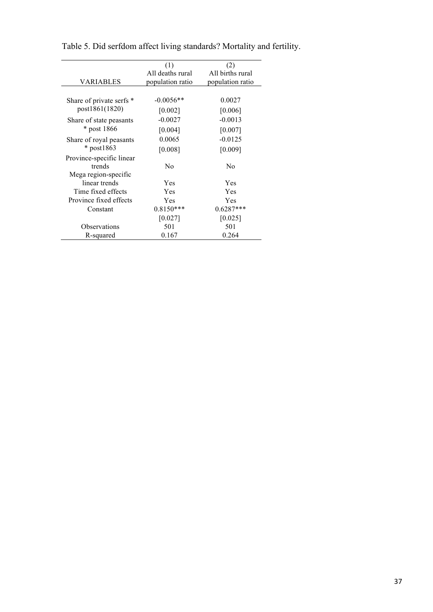|                          | (1)              | (2)              |
|--------------------------|------------------|------------------|
|                          | All deaths rural | All births rural |
| VARIABLES                | population ratio | population ratio |
|                          |                  |                  |
| Share of private serfs * | $-0.0056**$      | 0.0027           |
| post1861(1820)           | [0.002]          | [0.006]          |
| Share of state peasants  | $-0.0027$        | $-0.0013$        |
| * post 1866              | [0.004]          | [0.007]          |
| Share of royal peasants  | 0.0065           | $-0.0125$        |
| $*$ post1863             | [0.008]          | [0.009]          |
| Province-specific linear |                  |                  |
| trends                   | N <sub>0</sub>   | N <sub>0</sub>   |
| Mega region-specific     |                  |                  |
| linear trends            | Yes              | Yes              |
| Time fixed effects       | Yes              | Yes              |
| Province fixed effects   | Yes              | Yes              |
| Constant                 | $0.8150***$      | $0.6287***$      |
|                          | $[0.027]$        | $[0.025]$        |
| Observations             | 501              | 501              |
| R-squared                | 0.167            | 0.264            |

Table 5. Did serfdom affect living standards? Mortality and fertility.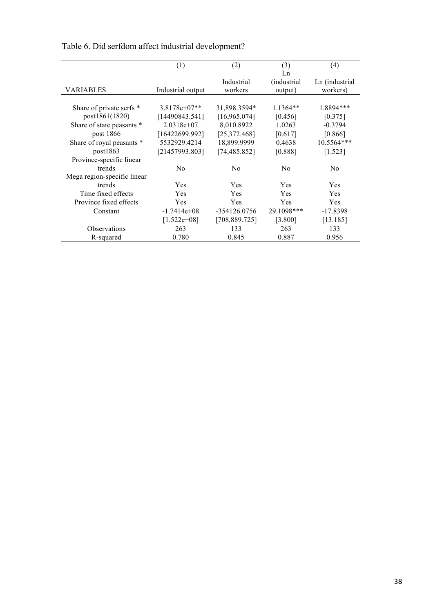|                             | (1)               | (2)            | (3)            | (4)            |
|-----------------------------|-------------------|----------------|----------------|----------------|
|                             |                   |                | Ln             |                |
|                             |                   | Industrial     | (industrial    | Ln (industrial |
| VARIABLES                   | Industrial output | workers        | output)        | workers)       |
|                             |                   |                |                |                |
| Share of private serfs *    | $3.8178e+07**$    | 31,898.3594*   | $1.1364**$     | 1.8894***      |
| post1861(1820)              | [14490843.541]    | [16,965.074]   | [0.456]        | [0.375]        |
| Share of state peasants *   | $2.0318e+07$      | 8,010.8922     | 1.0263         | $-0.3794$      |
| post 1866                   | [16422699.992]    | [25,372.468]   | [0.617]        | [0.866]        |
| Share of royal peasants *   | 5532929.4214      | 18,899.9999    | 0.4638         | $10.5564***$   |
| post1863                    | [21457993.803]    | [74, 485.852]  | [0.888]        | [1.523]        |
| Province-specific linear    |                   |                |                |                |
| trends                      | N <sub>0</sub>    | N <sub>0</sub> | N <sub>0</sub> | N <sub>0</sub> |
| Mega region-specific linear |                   |                |                |                |
| trends                      | <b>Yes</b>        | <b>Yes</b>     | Yes            | <b>Yes</b>     |
| Time fixed effects          | Yes               | Yes            | Yes            | Yes            |
| Province fixed effects      | Yes               | <b>Yes</b>     | <b>Yes</b>     | <b>Yes</b>     |
| Constant                    | $-1.7414e+08$     | $-354126.0756$ | 29.1098***     | $-17.8398$     |
|                             | $[1.522e+08]$     | [708, 889.725] | [3.800]        | [13.185]       |
| <b>Observations</b>         | 263               | 133            | 263            | 133            |
| R-squared                   | 0.780             | 0.845          | 0.887          | 0.956          |

Table 6. Did serfdom affect industrial development?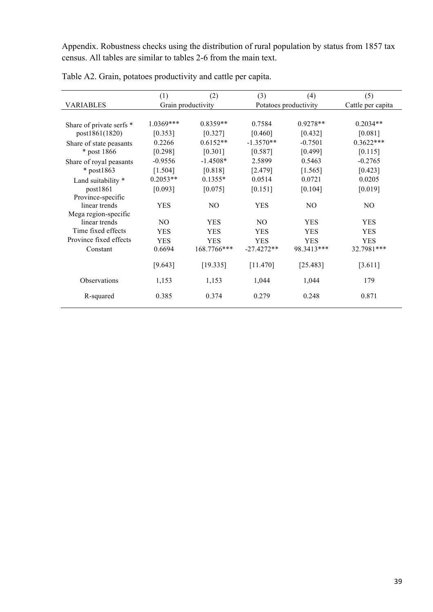Appendix. Robustness checks using the distribution of rural population by status from 1857 tax census. All tables are similar to tables 2-6 from the main text.

|                          | (1)                | (2)            | (3)            | (4)                   | (5)               |
|--------------------------|--------------------|----------------|----------------|-----------------------|-------------------|
| <b>VARIABLES</b>         | Grain productivity |                |                | Potatoes productivity | Cattle per capita |
|                          |                    |                |                |                       |                   |
| Share of private serfs * | $1.0369***$        | $0.8359**$     | 0.7584         | $0.9278**$            | $0.2034**$        |
| post1861(1820)           | [0.353]            | [0.327]        | [0.460]        | [0.432]               | [0.081]           |
| Share of state peasants  | 0.2266             | $0.6152**$     | $-1.3570**$    | $-0.7501$             | $0.3622***$       |
| * post 1866              | [0.298]            | [0.301]        | [0.587]        | [0.499]               | [0.115]           |
| Share of royal peasants  | $-0.9556$          | $-1.4508*$     | 2.5899         | 0.5463                | $-0.2765$         |
| * post1863               | [1.504]            | [0.818]        | [2.479]        | [1.565]               | [0.423]           |
| Land suitability *       | $0.2053**$         | $0.1355*$      | 0.0514         | 0.0721                | 0.0205            |
| post1861                 | [0.093]            | [0.075]        | [0.151]        | [0.104]               | [0.019]           |
| Province-specific        |                    |                |                |                       |                   |
| linear trends            | <b>YES</b>         | N <sub>O</sub> | <b>YES</b>     | N <sub>O</sub>        | N <sub>O</sub>    |
| Mega region-specific     |                    |                |                |                       |                   |
| linear trends            | N <sub>O</sub>     | <b>YES</b>     | N <sub>O</sub> | <b>YES</b>            | <b>YES</b>        |
| Time fixed effects       | <b>YES</b>         | <b>YES</b>     | <b>YES</b>     | <b>YES</b>            | <b>YES</b>        |
| Province fixed effects   | <b>YES</b>         | <b>YES</b>     | <b>YES</b>     | <b>YES</b>            | <b>YES</b>        |
| Constant                 | 0.6694             | 168.7766***    | $-27.4272**$   | 98.3413***            | 32.7981***        |
|                          | [9.643]            | [19.335]       | [11.470]       | [25.483]              | [3.611]           |
| Observations             | 1,153              | 1,153          | 1,044          | 1,044                 | 179               |
| R-squared                | 0.385              | 0.374          | 0.279          | 0.248                 | 0.871             |

Table A2. Grain, potatoes productivity and cattle per capita.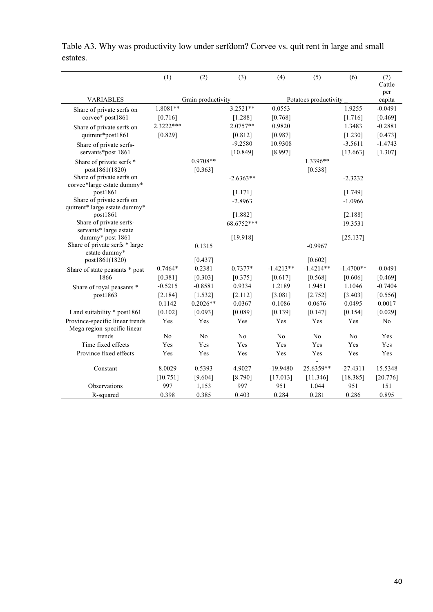|                                                    | (1)        | (2)                | (3)            | (4)         | (5)                   | (6)            | (7)<br>Cattle  |
|----------------------------------------------------|------------|--------------------|----------------|-------------|-----------------------|----------------|----------------|
| <b>VARIABLES</b>                                   |            | Grain productivity |                |             | Potatoes productivity |                | per<br>capita  |
| Share of private serfs on                          | $1.8081**$ |                    | $3.2521**$     | 0.0553      |                       | 1.9255         | $-0.0491$      |
| corvee* post1861                                   | [0.716]    |                    | [1.288]        | [0.768]     |                       | [1.716]        | [0.469]        |
| Share of private serfs on                          | 2.3222***  |                    | 2.0757**       | 0.9820      |                       | 1.3483         | $-0.2881$      |
| quitrent*post1861                                  | [0.829]    |                    | [0.812]        | [0.987]     |                       | $[1.230]$      | [0.473]        |
| Share of private serfs-                            |            |                    | $-9.2580$      | 10.9308     |                       | $-3.5611$      | $-1.4743$      |
| servants*post 1861                                 |            |                    | [10.849]       | [8.997]     |                       | [13.663]       | [1.307]        |
| Share of private serfs *                           |            | $0.9708**$         |                |             | 1.3396**              |                |                |
| post1861(1820)                                     |            | [0.363]            |                |             | [0.538]               |                |                |
| Share of private serfs on                          |            |                    | $-2.6363**$    |             |                       | $-2.3232$      |                |
| corvee*large estate dummy*<br>post1861             |            |                    | [1.171]        |             |                       | [1.749]        |                |
| Share of private serfs on                          |            |                    | $-2.8963$      |             |                       | $-1.0966$      |                |
| quitrent* large estate dummy*                      |            |                    |                |             |                       |                |                |
| post1861                                           |            |                    | [1.882]        |             |                       | [2.188]        |                |
| Share of private serfs-                            |            |                    | 68.6752***     |             |                       | 19.3531        |                |
| servants* large estate                             |            |                    |                |             |                       |                |                |
| dummy* post 1861<br>Share of private serfs * large |            | 0.1315             | [19.918]       |             | $-0.9967$             | [25.137]       |                |
| estate dummy*                                      |            |                    |                |             |                       |                |                |
| post1861(1820)                                     |            | [0.437]            |                |             | [0.602]               |                |                |
| Share of state peasants * post                     | $0.7464*$  | 0.2381             | $0.7377*$      | $-1.4213**$ | $-1.4214**$           | $-1.4700**$    | $-0.0491$      |
| 1866                                               | [0.381]    | [0.303]            | [0.375]        | [0.617]     | [0.568]               | [0.606]        | [0.469]        |
| Share of royal peasants *                          | $-0.5215$  | $-0.8581$          | 0.9334         | 1.2189      | 1.9451                | 1.1046         | $-0.7404$      |
| post1863                                           | [2.184]    | [1.532]            | [2.112]        | [3.081]     | [2.752]               | [3.403]        | [0.556]        |
|                                                    | 0.1142     | $0.2026**$         | 0.0367         | 0.1086      | 0.0676                | 0.0495         | 0.0017         |
| Land suitability * post1861                        | [0.102]    | [0.093]            | [0.089]        | [0.139]     | [0.147]               | [0.154]        | [0.029]        |
| Province-specific linear trends                    | Yes        | Yes                | Yes            | Yes         | Yes                   | Yes            | N <sub>0</sub> |
| Mega region-specific linear<br>trends              | No         | No                 | N <sub>0</sub> | No          | No                    | N <sub>0</sub> | Yes            |
| Time fixed effects                                 | Yes        | Yes                | Yes            | Yes         | Yes                   | Yes            | Yes            |
| Province fixed effects                             | Yes        | Yes                | Yes            | Yes         | Yes                   | Yes            | Yes            |
|                                                    |            |                    |                |             |                       |                |                |
| Constant                                           | 8.0029     | 0.5393             | 4.9027         | $-19.9480$  | 25.6359**             | $-27.4311$     | 15.5348        |
|                                                    | [10.751]   | [9.604]            | [8.790]        | [17.013]    | [11.346]              | [18.385]       | [20.776]       |
| Observations                                       | 997        | 1,153              | 997            | 951         | 1,044                 | 951            | 151            |
| R-squared                                          | 0.398      | 0.385              | 0.403          | 0.284       | 0.281                 | 0.286          | 0.895          |

Table A3. Why was productivity low under serfdom? Corvee vs. quit rent in large and small estates.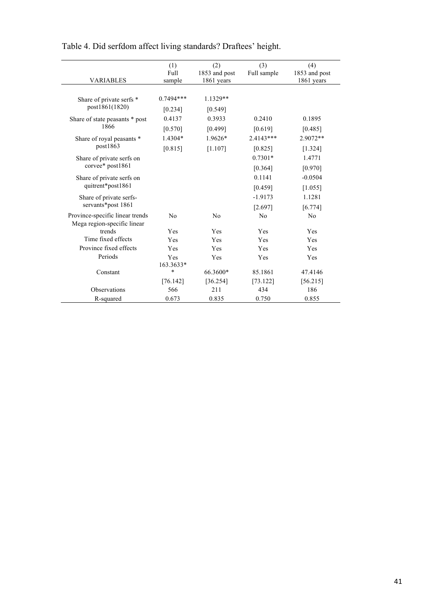| <b>VARIABLES</b>                | (1)<br>Full<br>sample | (2)<br>1853 and post<br>1861 years | (3)<br>Full sample | (4)<br>1853 and post<br>1861 years |
|---------------------------------|-----------------------|------------------------------------|--------------------|------------------------------------|
|                                 |                       |                                    |                    |                                    |
| Share of private serfs *        | $0.7494***$           | $1.1329**$                         |                    |                                    |
| post1861(1820)                  | [0.234]               | [0.549]                            |                    |                                    |
| Share of state peasants * post  | 0.4137                | 0.3933                             | 0.2410             | 0.1895                             |
| 1866                            | [0.570]               | [0.499]                            | [0.619]            | [0.485]                            |
| Share of royal peasants *       | 1.4304*               | 1.9626*                            | $2.4143***$        | 2.9072**                           |
| post1863                        | [0.815]               | [1.107]                            | [0.825]            | [1.324]                            |
| Share of private serfs on       |                       |                                    | $0.7301*$          | 1.4771                             |
| corvee* post1861                |                       |                                    | [0.364]            | [0.970]                            |
| Share of private serfs on       |                       |                                    | 0.1141             | $-0.0504$                          |
| quitrent*post1861               |                       |                                    | [0.459]            | [1.055]                            |
| Share of private serfs-         |                       |                                    | $-1.9173$          | 1.1281                             |
| servants*post 1861              |                       |                                    | [2.697]            | [6.774]                            |
| Province-specific linear trends | N <sub>0</sub>        | No                                 | N <sub>0</sub>     | N <sub>o</sub>                     |
| Mega region-specific linear     |                       |                                    |                    |                                    |
| trends                          | Yes                   | Yes                                | Yes                | Yes                                |
| Time fixed effects              | Yes                   | Yes                                | Yes                | Yes                                |
| Province fixed effects          | Yes                   | Yes                                | Yes                | Yes                                |
| Periods                         | Yes                   | Yes                                | Yes                | Yes                                |
|                                 | 163.3633*             |                                    |                    |                                    |
| Constant                        | $\ast$                | 66.3600*                           | 85.1861            | 47.4146                            |
|                                 | [76.142]              | [36.254]                           | [73.122]           | [56.215]                           |
| Observations                    | 566                   | 211                                | 434                | 186                                |
| R-squared                       | 0.673                 | 0.835                              | 0.750              | 0.855                              |

Table 4. Did serfdom affect living standards? Draftees' height.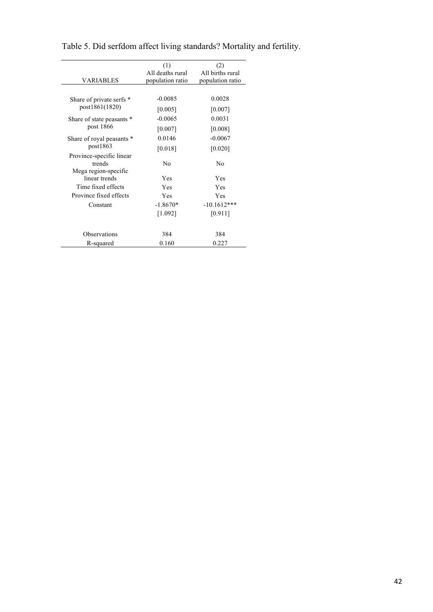|                                       | (1)              | (2)              |
|---------------------------------------|------------------|------------------|
|                                       | All deaths rural | All births rural |
| VARIABLES                             | population ratio | population ratio |
|                                       |                  |                  |
| Share of private serfs *              | $-0.0085$        | 0.0028           |
| post1861(1820)                        | [0.005]          | [0.007]          |
| Share of state peasants *             | $-0.0065$        | 0.0031           |
| post 1866                             | [0.007]          | [0.008]          |
| Share of royal peasants *             | 0.0146           | $-0.0067$        |
| post1863                              | [0.018]          | [0.020]          |
| Province-specific linear              |                  |                  |
| trends                                | No               | N <sub>0</sub>   |
| Mega region-specific<br>linear trends | Yes              | Yes              |
| Time fixed effects                    | Yes              | Yes              |
| Province fixed effects                | Yes              | Yes              |
| Constant                              | $-1.8670*$       | $-10.1612***$    |
|                                       | [1.092]          | [0.911]          |
|                                       |                  |                  |
| Observations                          | 384              | 384              |
| R-squared                             | 0.160            | 0.227            |

Table 5. Did serfdom affect living standards? Mortality and fertility.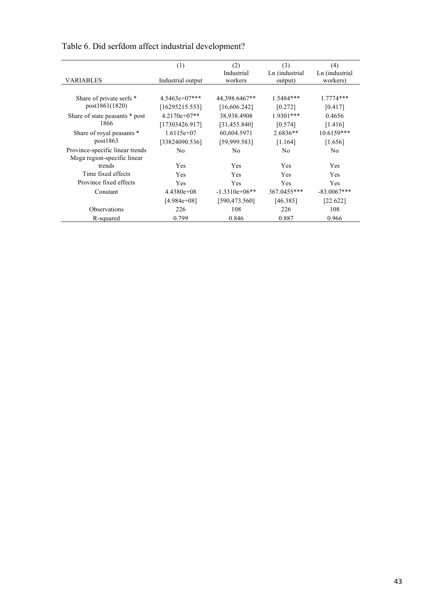|                                        | (1)               | (2)             | (3)            | (4)            |
|----------------------------------------|-------------------|-----------------|----------------|----------------|
|                                        |                   | Industrial      | Ln (industrial | Ln (industrial |
| VARIABLES                              | Industrial output | workers         | output)        | workers)       |
|                                        |                   |                 |                |                |
| Share of private serfs *               | $4.5463e+07***$   | 44,398.6467**   | 1.5484***      | $1.7774***$    |
| post1861(1820)                         | [16295215.553]    | [16,606.242]    | [0.272]        | [0.417]        |
| Share of state peasants * post<br>1866 | $4.2170e+07**$    | 38,938.4908     | $1.9301***$    | 0.4656         |
|                                        | [17303426.917]    | [31, 455.840]   | [0.574]        | [1.416]        |
| Share of royal peasants *<br>post1863  | $1.6115e+07$      | 60,604.5971     | $2.6836**$     | 10.6159***     |
|                                        | [33824090.536]    | [59,999.583]    | [1.164]        | [1.656]        |
| Province-specific linear trends        | No                | N <sub>0</sub>  | No             | N <sub>0</sub> |
| Mega region-specific linear            |                   |                 |                |                |
| trends                                 | <b>Yes</b>        | <b>Yes</b>      | Yes            | Yes            |
| Time fixed effects                     | <b>Yes</b>        | <b>Yes</b>      | Yes            | Yes            |
| Province fixed effects                 | <b>Yes</b>        | <b>Yes</b>      | Yes            | Yes            |
| Constant                               | $4.4380e+08$      | $-1.3310e+06**$ | 367.0455***    | $-83.0067***$  |
|                                        | $[4.984e+08]$     | [590, 473.560]  | [46.385]       | [22.622]       |
| Observations                           | 226               | 108             | 226            | 108            |
| R-squared                              | 0.799             | 0.846           | 0.887          | 0.966          |

## Table 6. Did serfdom affect industrial development?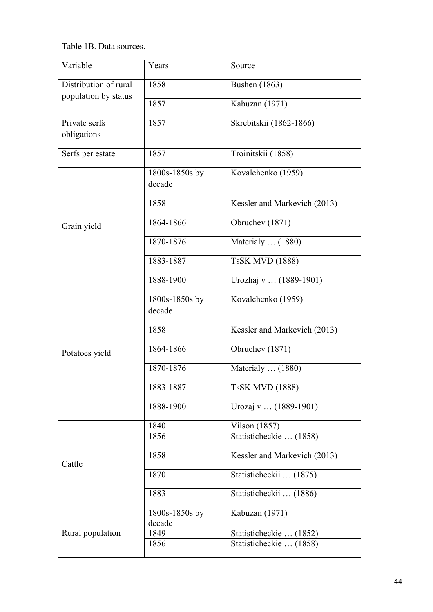Table 1B. Data sources.

| Variable                     | Years                    | Source                       |
|------------------------------|--------------------------|------------------------------|
| Distribution of rural        | 1858                     | <b>Bushen</b> (1863)         |
| population by status         | 1857                     | Kabuzan (1971)               |
| Private serfs<br>obligations | 1857                     | Skrebitskii (1862-1866)      |
| Serfs per estate             | 1857                     | Troinitskii (1858)           |
| Grain yield                  | 1800s-1850s by<br>decade | Kovalchenko (1959)           |
|                              | 1858                     | Kessler and Markevich (2013) |
|                              | 1864-1866                | Obruchev (1871)              |
|                              | 1870-1876                | Materialy $\dots$ (1880)     |
|                              | 1883-1887                | <b>TsSK MVD (1888)</b>       |
|                              | 1888-1900                | Urozhaj v  (1889-1901)       |
| Potatoes yield               | 1800s-1850s by<br>decade | Kovalchenko (1959)           |
|                              | 1858                     | Kessler and Markevich (2013) |
|                              | 1864-1866                | Obruchev (1871)              |
|                              | 1870-1876                | Materialy $\dots$ (1880)     |
|                              | 1883-1887                | <b>TsSK MVD (1888)</b>       |
|                              | 1888-1900                | Urozaj v  (1889-1901)        |
| Cattle                       | 1840                     | <b>Vilson</b> (1857)         |
|                              | 1856                     | Statisticheckie  (1858)      |
|                              | 1858                     | Kessler and Markevich (2013) |
|                              | 1870                     | Statisticheckii  (1875)      |
|                              | 1883                     | Statisticheckii  (1886)      |
| Rural population             | 1800s-1850s by<br>decade | Kabuzan (1971)               |
|                              | 1849                     | Statisticheckie  (1852)      |
|                              | 1856                     | Statisticheckie  (1858)      |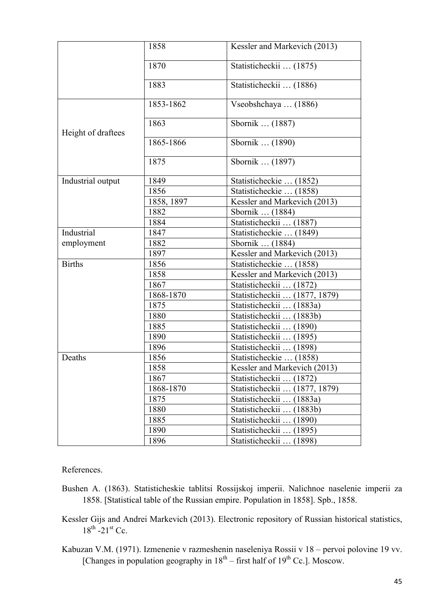|                    | 1858       | Kessler and Markevich (2013)    |
|--------------------|------------|---------------------------------|
|                    | 1870       | Statisticheckii  (1875)         |
|                    | 1883       | Statisticheckii  (1886)         |
| Height of draftees | 1853-1862  | Vseobshchaya  (1886)            |
|                    | 1863       | Sbornik  (1887)                 |
|                    | 1865-1866  | Sbornik  (1890)                 |
|                    | 1875       | Sbornik  (1897)                 |
| Industrial output  | 1849       | Statisticheckie  (1852)         |
|                    | 1856       | Statisticheckie  (1858)         |
|                    | 1858, 1897 | Kessler and Markevich (2013)    |
|                    | 1882       | Sbornik  (1884)                 |
|                    | 1884       | Statisticheckii  (1887)         |
| Industrial         | 1847       | Statisticheckie  (1849)         |
| employment         | 1882       | Sbornik  (1884)                 |
|                    | 1897       | Kessler and Markevich (2013)    |
| <b>Births</b>      | 1856       | Statisticheckie  (1858)         |
|                    | 1858       | Kessler and Markevich (2013)    |
|                    | 1867       | Statisticheckii  (1872)         |
|                    | 1868-1870  | Statisticheckii  (1877, 1879)   |
|                    | 1875       | Statisticheckii  (1883a)        |
|                    | 1880       | Statisticheckii  (1883b)        |
|                    | 1885       | Statisticheckii  (1890)         |
|                    | 1890       | Statisticheckii  (1895)         |
|                    | 1896       | Statisticheckii  (1898)         |
| Deaths             | 1856       | Statisticheckie  (1858)         |
|                    | 1858       | Kessler and Markevich (2013)    |
|                    | 1867       | Statisticheckii<br>(1872)       |
|                    | 1868-1870  | Statisticheckii<br>(1877, 1879) |
|                    | 1875       | (1883a)<br>Statisticheckii      |
|                    | 1880       | Statisticheckii<br>(1883b)      |
|                    | 1885       | Statisticheckii<br>(1890)       |
|                    | 1890       | Statisticheckii.<br>(1895)      |
|                    | 1896       | Statisticheckii<br>(1898)       |

References.

- Bushen A. (1863). Statisticheskie tablitsi Rossijskoj imperii. Nalichnoe naselenie imperii za 1858. [Statistical table of the Russian empire. Population in 1858]. Spb., 1858.
- Kessler Gijs and Andrei Markevich (2013). Electronic repository of Russian historical statistics,  $18^{th}$  -21st Cc.
- Kabuzan V.M. (1971). Izmenenie v razmeshenin naseleniya Rossii v 18 pervoi polovine 19 vv. [Changes in population geography in  $18<sup>th</sup>$  – first half of  $19<sup>th</sup>$  Cc.]. Moscow.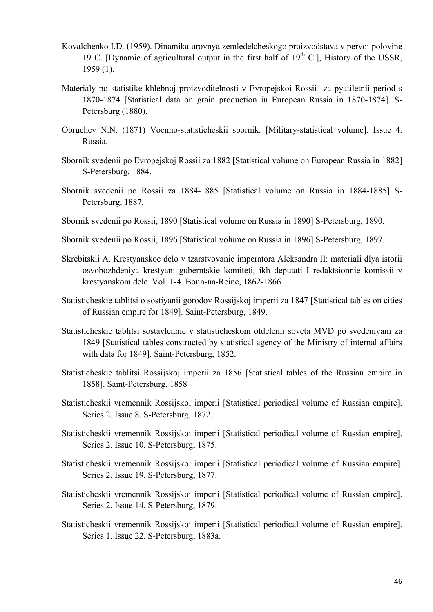- Kovalchenko I.D. (1959). Dinamika urovnya zemledelcheskogo proizvodstava v pervoi polovine 19 C. [Dynamic of agricultural output in the first half of  $19<sup>th</sup>$  C.], History of the USSR, 1959 (1).
- Materialy po statistike khlebnoj proizvoditelnosti v Evropejskoi Rossii za pyatiletnii period s 1870-1874 [Statistical data on grain production in European Russia in 1870-1874]. S-Petersburg (1880).
- Obruchev N.N. (1871) Voenno-statisticheskii sbornik. [Military-statistical volume]. Issue 4. Russia.
- Sbornik svedenii po Evropejskoj Rossii za 1882 [Statistical volume on European Russia in 1882] S-Petersburg, 1884.
- Sbornik svedenii po Rossii za 1884-1885 [Statistical volume on Russia in 1884-1885] S-Petersburg, 1887.
- Sbornik svedenii po Rossii, 1890 [Statistical volume on Russia in 1890] S-Petersburg, 1890.
- Sbornik svedenii po Rossii, 1896 [Statistical volume on Russia in 1896] S-Petersburg, 1897.
- Skrebitskii A. Krestyanskoe delo v tzarstvovanie imperatora Aleksandra II: materiali dlya istorii osvobozhdeniya krestyan: guberntskie komiteti, ikh deputati I redaktsionnie komissii v krestyanskom dele. Vol. 1-4. Bonn-na-Reine, 1862-1866.
- Statisticheskie tablitsi o sostiyanii gorodov Rossijskoj imperii za 1847 [Statistical tables on cities of Russian empire for 1849]. Saint-Petersburg, 1849.
- Statisticheskie tablitsi sostavlennie v statisticheskom otdelenii soveta MVD po svedeniyam za 1849 [Statistical tables constructed by statistical agency of the Ministry of internal affairs with data for 1849]. Saint-Petersburg, 1852.
- Statisticheskie tablitsi Rossijskoj imperii za 1856 [Statistical tables of the Russian empire in 1858]. Saint-Petersburg, 1858
- Statisticheskii vremennik Rossijskoi imperii [Statistical periodical volume of Russian empire]. Series 2. Issue 8. S-Petersburg, 1872.
- Statisticheskii vremennik Rossijskoi imperii [Statistical periodical volume of Russian empire]. Series 2. Issue 10. S-Petersburg, 1875.
- Statisticheskii vremennik Rossijskoi imperii [Statistical periodical volume of Russian empire]. Series 2. Issue 19. S-Petersburg, 1877.
- Statisticheskii vremennik Rossijskoi imperii [Statistical periodical volume of Russian empire]. Series 2. Issue 14. S-Petersburg, 1879.
- Statisticheskii vremennik Rossijskoi imperii [Statistical periodical volume of Russian empire]. Series 1. Issue 22. S-Petersburg, 1883a.